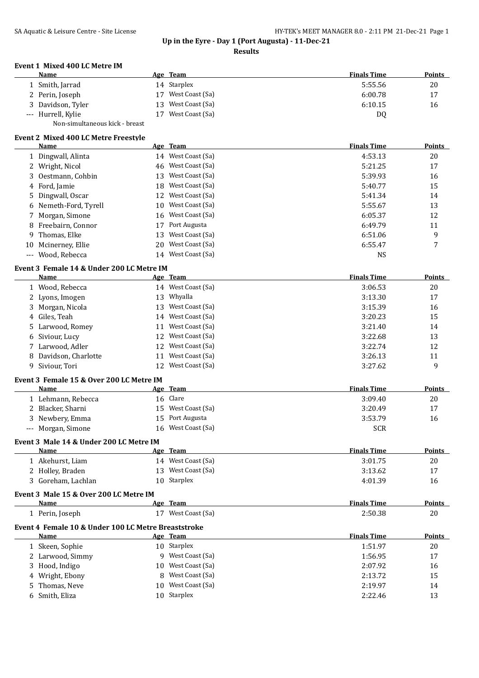### **Results**

| <b>Event 1 Mixed 400 LC Metre IM</b>      |    |                    |                    |               |
|-------------------------------------------|----|--------------------|--------------------|---------------|
| <b>Name</b>                               |    | Age Team           | <b>Finals Time</b> | <b>Points</b> |
| 1 Smith, Jarrad                           |    | 14 Starplex        | 5:55.56            | 20            |
| 2 Perin, Joseph                           | 17 | West Coast (Sa)    | 6:00.78            | 17            |
| Davidson, Tyler<br>3                      | 13 | West Coast (Sa)    | 6:10.15            | 16            |
| --- Hurrell, Kylie                        | 17 | West Coast (Sa)    | DQ                 |               |
| Non-simultaneous kick - breast            |    |                    |                    |               |
| Event 2 Mixed 400 LC Metre Freestyle      |    |                    |                    |               |
| <b>Name</b>                               |    | Age Team           | <b>Finals Time</b> | Points        |
| 1 Dingwall, Alinta                        |    | 14 West Coast (Sa) | 4:53.13            | 20            |
| 2 Wright, Nicol                           | 46 | West Coast (Sa)    | 5:21.25            | 17            |
| Oestmann. Cohbin<br>3                     | 13 | West Coast (Sa)    | 5:39.93            | 16            |
| Ford, Jamie<br>4                          | 18 | West Coast (Sa)    | 5:40.77            | 15            |
| Dingwall, Oscar<br>5                      | 12 | West Coast (Sa)    | 5:41.34            | 14            |
| Nemeth-Ford, Tyrell<br>6                  | 10 | West Coast (Sa)    | 5:55.67            | 13            |
| Morgan, Simone<br>7                       | 16 | West Coast (Sa)    | 6:05.37            | 12            |
| Freebairn, Connor<br>8                    | 17 | Port Augusta       | 6:49.79            | 11            |
| Thomas, Elke<br>9                         | 13 | West Coast (Sa)    | 6:51.06            | 9             |
| Mcinerney, Ellie<br>10                    | 20 | West Coast (Sa)    | 6:55.47            | 7             |
| Wood, Rebecca<br>$---$                    | 14 | West Coast (Sa)    | <b>NS</b>          |               |
| Event 3 Female 14 & Under 200 LC Metre IM |    |                    |                    |               |
| Name                                      |    | Age Team           | <b>Finals Time</b> | Points        |
| 1 Wood, Rebecca                           |    | 14 West Coast (Sa) | 3:06.53            | 20            |
| Lyons, Imogen<br>2                        | 13 | Whyalla            | 3:13.30            | 17            |
| Morgan, Nicola<br>3                       | 13 | West Coast (Sa)    | 3:15.39            | 16            |
| Giles, Teah<br>4                          | 14 | West Coast (Sa)    | 3:20.23            | 15            |
| Larwood, Romey<br>5                       | 11 | West Coast (Sa)    | 3:21.40            | 14            |
| Siviour, Lucy<br>6                        | 12 | West Coast (Sa)    | 3:22.68            | 13            |
| Larwood, Adler                            | 12 | West Coast (Sa)    | 3:22.74            | 12            |
| Davidson, Charlotte<br>8                  | 11 | West Coast (Sa)    | 3:26.13            | 11            |
| 9<br>Siviour, Tori                        |    | 12 West Coast (Sa) | 3:27.62            | $\mathbf{q}$  |

| Event 3 Female 15 & Over 200 LC Metre IM |             |                    |               |
|------------------------------------------|-------------|--------------------|---------------|
| Name                                     | Team<br>Age | <b>Finals Time</b> | <b>Points</b> |

|                    | $\mathbf{H}$ require | .          | . v.i.u |
|--------------------|----------------------|------------|---------|
| Lehmann, Rebecca   | 16 Clare             | 3:09.40    | 20      |
| 2 Blacker, Sharni  | 15 West Coast (Sa)   | 3:20.49    |         |
| 3 Newbery, Emma    | 15 Port Augusta      | 3:53.79    | 16      |
| --- Morgan, Simone | 16 West Coast (Sa)   | <b>SCR</b> |         |
|                    |                      |            |         |

#### **Event 3 Male 14 & Under 200 LC Metre IM**  $\overline{\phantom{a}}$

| Name               | Age Team           | <b>Finals Time</b> | <b>Points</b> |
|--------------------|--------------------|--------------------|---------------|
| Akehurst, Liam     | 14 West Coast (Sa) | 3:01.75            | 20            |
| 2 Holley, Braden   | 13 West Coast (Sa) | 3:13.62            | 17            |
| 3 Goreham, Lachlan | 10 Starplex        | 4:01.39            | 16            |
|                    |                    |                    |               |

# **Event 3 Male 15 & Over 200 LC Metre IM**

| Name          | Team<br>Age            | <sup>v</sup> inals Time | <b>Points</b> |
|---------------|------------------------|-------------------------|---------------|
| Perin, Joseph | West Coast (Sa)<br>. . | 2:50.38                 | 20            |

# **Event 4 Female 10 & Under 100 LC Metre Breaststroke**

| Name             |    | <u>Age Team</u>   | <b>Finals Time</b> | <b>Points</b> |
|------------------|----|-------------------|--------------------|---------------|
| 1 Skeen, Sophie  |    | 10 Starplex       | 1:51.97            | 20            |
| 2 Larwood, Simmy |    | West Coast (Sa)   | 1:56.95            | 17            |
| 3 Hood, Indigo   | 10 | West Coast (Sa)   | 2:07.92            | 16            |
| 4 Wright, Ebony  |    | 8 West Coast (Sa) | 2:13.72            | 15            |
| 5 Thomas, Neve   | 10 | West Coast (Sa)   | 2:19.97            | 14            |
| 6 Smith, Eliza   |    | 10 Starplex       | 2:22.46            | 13            |
|                  |    |                   |                    |               |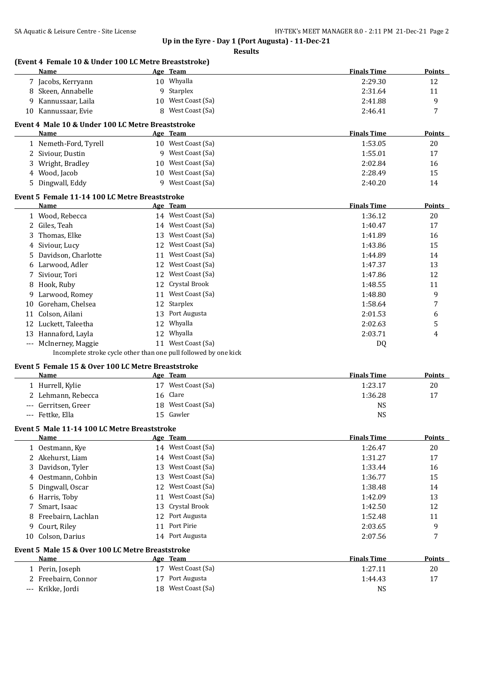|    | Name                                                       |    | Age Team                                                         | <b>Finals Time</b> | <b>Points</b> |
|----|------------------------------------------------------------|----|------------------------------------------------------------------|--------------------|---------------|
|    | 7 Jacobs, Kerryann                                         |    | 10 Whyalla                                                       | 2:29.30            | 12            |
|    | 8 Skeen, Annabelle                                         |    | 9 Starplex                                                       | 2:31.64            | 11            |
| 9  | Kannussaar, Laila                                          | 10 | West Coast (Sa)                                                  | 2:41.88            | 9             |
| 10 | Kannussaar, Evie                                           | 8  | West Coast (Sa)                                                  | 2:46.41            | 7             |
|    | Event 4 Male 10 & Under 100 LC Metre Breaststroke          |    |                                                                  |                    |               |
|    | Name                                                       |    | Age Team                                                         | <b>Finals Time</b> | <b>Points</b> |
|    | 1 Nemeth-Ford, Tyrell                                      |    | 10 West Coast (Sa)                                               | 1:53.05            | 20            |
|    | 2 Siviour, Dustin                                          |    | 9 West Coast (Sa)                                                | 1:55.01            | 17            |
|    | 3 Wright, Bradley                                          | 10 | West Coast (Sa)                                                  | 2:02.84            | 16            |
|    | 4 Wood, Jacob                                              |    | 10 West Coast (Sa)                                               | 2:28.49            | 15            |
| 5. | Dingwall, Eddy                                             |    | 9 West Coast (Sa)                                                | 2:40.20            | 14            |
|    | Event 5 Female 11-14 100 LC Metre Breaststroke             |    |                                                                  |                    |               |
|    | Name                                                       |    | Age Team                                                         | <b>Finals Time</b> | <b>Points</b> |
|    | 1 Wood, Rebecca                                            |    | 14 West Coast (Sa)                                               | 1:36.12            | 20            |
|    | 2 Giles, Teah                                              |    | 14 West Coast (Sa)                                               | 1:40.47            | 17            |
| 3  | Thomas, Elke                                               |    | 13 West Coast (Sa)                                               | 1:41.89            | 16            |
| 4  | Siviour, Lucy                                              |    | 12 West Coast (Sa)                                               | 1:43.86            | 15            |
| 5  | Davidson, Charlotte                                        |    | 11 West Coast (Sa)                                               | 1:44.89            | 14            |
| 6  | Larwood, Adler                                             |    | 12 West Coast (Sa)                                               | 1:47.37            | 13            |
| 7  | Siviour, Tori                                              |    | 12 West Coast (Sa)                                               | 1:47.86            | 12            |
| 8  | Hook, Ruby                                                 |    | 12 Crystal Brook                                                 | 1:48.55            | 11            |
| 9  | Larwood, Romey                                             |    | 11 West Coast (Sa)                                               | 1:48.80            | 9             |
| 10 | Goreham, Chelsea                                           |    | 12 Starplex                                                      | 1:58.64            | 7             |
| 11 | Colson, Ailani                                             | 13 | Port Augusta                                                     | 2:01.53            | 6             |
| 12 | Luckett, Taleetha                                          | 12 | Whyalla                                                          | 2:02.63            | 5             |
| 13 | Hannaford, Layla                                           | 12 | Whyalla                                                          | 2:03.71            | 4             |
|    | --- McInerney, Maggie                                      |    | 11 West Coast (Sa)                                               | DQ                 |               |
|    |                                                            |    | Incomplete stroke cycle other than one pull followed by one kick |                    |               |
|    | Event 5 Female 15 & Over 100 LC Metre Breaststroke<br>Name |    | Age Team                                                         | <b>Finals Time</b> | <b>Points</b> |
|    | 1 Hurrell, Kylie                                           |    | 17 West Coast (Sa)                                               | 1:23.17            | 20            |
|    | 2 Lehmann, Rebecca                                         |    | 16 Clare                                                         | 1:36.28            | 17            |
|    | --- Gerritsen, Greer                                       |    | 18 West Coast (Sa)                                               | <b>NS</b>          |               |
|    | --- Fettke, Ella                                           |    | 15 Gawler                                                        | <b>NS</b>          |               |
|    | Event 5 Male 11-14 100 LC Metre Breaststroke               |    |                                                                  |                    |               |
|    | Name                                                       |    | Age Team                                                         | <b>Finals Time</b> | <b>Points</b> |
|    | 1 Oestmann, Kye                                            |    | 14 West Coast (Sa)                                               | 1:26.47            | 20            |
|    | 2 Akehurst, Liam                                           |    | 14 West Coast (Sa)                                               | 1:31.27            | 17            |
| 3  | Davidson, Tyler                                            |    | 13 West Coast (Sa)                                               | 1:33.44            | 16            |
| 4  | Oestmann, Cohbin                                           | 13 | West Coast (Sa)                                                  | 1:36.77            | 15            |
| 5  | Dingwall, Oscar                                            |    | 12 West Coast (Sa)                                               | 1:38.48            | 14            |
| 6  | Harris, Toby                                               |    | 11 West Coast (Sa)                                               | 1:42.09            | 13            |
| 7  | Smart, Isaac                                               |    | 13 Crystal Brook                                                 | 1:42.50            | 12            |
| 8  | Freebairn, Lachlan                                         |    | 12 Port Augusta                                                  | 1:52.48            | 11            |
| 9  | Court, Riley                                               |    | 11 Port Pirie                                                    | 2:03.65            | 9             |
| 10 | Colson, Darius                                             |    | 14 Port Augusta                                                  | 2:07.56            | $\sqrt{ }$    |
|    | Event 5 Male 15 & Over 100 LC Metre Breaststroke           |    |                                                                  |                    |               |
|    | <b>Name</b>                                                |    | Age Team                                                         | <b>Finals Time</b> | <b>Points</b> |
|    | 1 Perin, Joseph                                            |    | 17 West Coast (Sa)                                               | 1:27.11            | 20            |
|    | 2 Freebairn, Connor                                        |    | 17 Port Augusta                                                  | 1:44.43            | 17            |
|    | --- Krikke, Jordi                                          |    | 18 West Coast (Sa)                                               | <b>NS</b>          |               |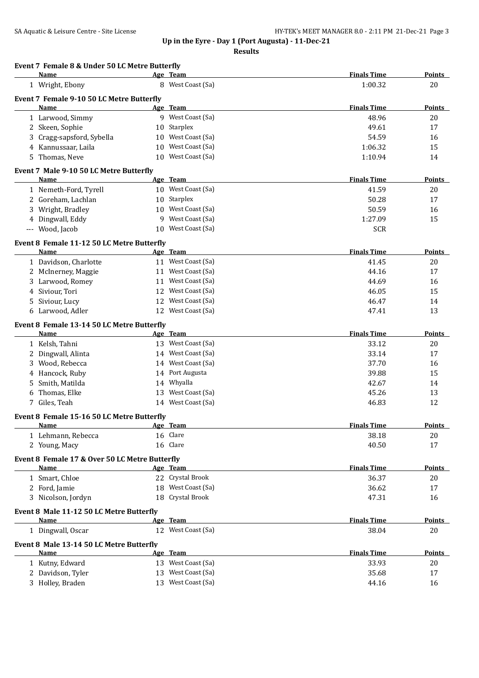**Results**

# **Event 7 Female 8 & Under 50 LC Metre Butterfly**

|    | Name                                               |    | Age Team                       | <b>Finals Time</b> | <b>Points</b> |
|----|----------------------------------------------------|----|--------------------------------|--------------------|---------------|
|    | 1 Wright, Ebony                                    |    | 8 West Coast (Sa)              | 1:00.32            | 20            |
|    | Event 7 Female 9-10 50 LC Metre Butterfly          |    |                                |                    |               |
|    | Name                                               |    | Age Team                       | <b>Finals Time</b> | Points        |
|    | 1 Larwood, Simmy                                   |    | 9 West Coast (Sa)              | 48.96              | 20            |
|    | 2 Skeen, Sophie                                    | 10 | Starplex                       | 49.61              | 17            |
| 3  | Cragg-sapsford, Sybella                            | 10 | West Coast (Sa)                | 54.59              | 16            |
|    | 4 Kannussaar, Laila                                | 10 | West Coast (Sa)                | 1:06.32            | 15            |
|    | 5 Thomas, Neve                                     |    | 10 West Coast (Sa)             | 1:10.94            | 14            |
|    | Event 7 Male 9-10 50 LC Metre Butterfly            |    |                                |                    |               |
|    | Name                                               |    | Age Team                       | <b>Finals Time</b> | <b>Points</b> |
|    | 1 Nemeth-Ford, Tyrell                              |    | 10 West Coast (Sa)             | 41.59              | 20            |
|    | 2 Goreham, Lachlan                                 |    | 10 Starplex                    | 50.28              | 17            |
|    | 3 Wright, Bradley                                  |    | 10 West Coast (Sa)             | 50.59              | 16            |
|    | 4 Dingwall, Eddy                                   |    | 9 West Coast (Sa)              | 1:27.09            | 15            |
|    | --- Wood, Jacob                                    | 10 | West Coast (Sa)                | <b>SCR</b>         |               |
|    | Event 8 Female 11-12 50 LC Metre Butterfly         |    |                                |                    |               |
|    | Name                                               |    | Age Team                       | <b>Finals Time</b> | <b>Points</b> |
|    | 1 Davidson, Charlotte                              |    | 11 West Coast (Sa)             | 41.45              | 20            |
|    | 2 McInerney, Maggie                                |    | 11 West Coast (Sa)             | 44.16              | 17            |
|    | 3 Larwood, Romey                                   |    | 11 West Coast (Sa)             | 44.69              | 16            |
|    | 4 Siviour, Tori                                    |    | 12 West Coast (Sa)             | 46.05              | 15            |
| 5. | Siviour, Lucy                                      |    | 12 West Coast (Sa)             | 46.47              | 14            |
|    | 6 Larwood, Adler                                   |    | 12 West Coast (Sa)             | 47.41              | 13            |
|    |                                                    |    |                                |                    |               |
|    | Event 8 Female 13-14 50 LC Metre Butterfly<br>Name |    | Age Team                       | <b>Finals Time</b> | <b>Points</b> |
|    | 1 Kelsh, Tahni                                     |    | 13 West Coast (Sa)             | 33.12              | 20            |
|    | 2 Dingwall, Alinta                                 |    | 14 West Coast (Sa)             | 33.14              | 17            |
|    | 3 Wood, Rebecca                                    |    | 14 West Coast (Sa)             | 37.70              | 16            |
|    |                                                    |    | 14 Port Augusta                | 39.88              | 15            |
|    | 4 Hancock, Ruby                                    |    | 14 Whyalla                     |                    |               |
| 5  | Smith, Matilda                                     |    | 13 West Coast (Sa)             | 42.67              | 14            |
| 6  | Thomas, Elke<br>7 Giles, Teah                      |    | 14 West Coast (Sa)             | 45.26              | 13            |
|    |                                                    |    |                                | 46.83              | 12            |
|    | Event 8 Female 15-16 50 LC Metre Butterfly         |    |                                |                    |               |
|    | <u>Name</u>                                        |    | Age Team                       | <b>Finals Time</b> | <b>Points</b> |
|    | 1 Lehmann, Rebecca                                 |    | 16 Clare                       | 38.18              | 20            |
|    | 2 Young, Macy                                      |    | 16 Clare                       | 40.50              | 17            |
|    | Event 8 Female 17 & Over 50 LC Metre Butterfly     |    |                                |                    |               |
|    | Name                                               |    | Age Team                       | <b>Finals Time</b> | <b>Points</b> |
|    | 1 Smart, Chloe                                     |    | 22 Crystal Brook               | 36.37              | 20            |
|    | 2 Ford, Jamie                                      |    | 18 West Coast (Sa)             | 36.62              | 17            |
|    | 3 Nicolson, Jordyn                                 |    | 18 Crystal Brook               | 47.31              | 16            |
|    | Event 8 Male 11-12 50 LC Metre Butterfly           |    |                                |                    |               |
|    | Name                                               |    | Age Team                       | <b>Finals Time</b> | <b>Points</b> |
|    | 1 Dingwall, Oscar                                  |    | 12 West Coast (Sa)             | 38.04              | 20            |
|    | Event 8 Male 13-14 50 LC Metre Butterfly           |    |                                |                    |               |
|    | Name                                               |    | Age Team<br>13 West Coast (Sa) | <b>Finals Time</b> | <b>Points</b> |
|    | 1 Kutny, Edward                                    |    |                                | 33.93              | 20            |
|    | 2 Davidson, Tyler                                  |    | 13 West Coast (Sa)             | 35.68              | 17            |
|    | 3 Holley, Braden                                   |    | 13 West Coast (Sa)             | 44.16              | 16            |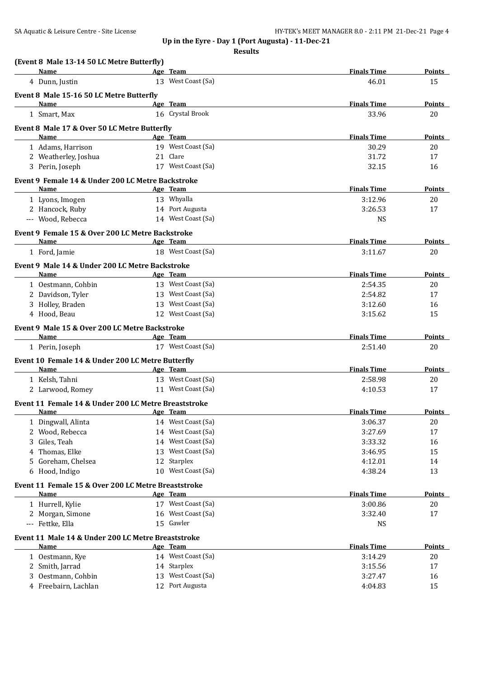| (Event 8 Male 13-14 50 LC Metre Butterfly)           |                              |                             |                     |
|------------------------------------------------------|------------------------------|-----------------------------|---------------------|
| Name                                                 | Age Team                     | <b>Finals Time</b>          | Points              |
| 4 Dunn, Justin                                       | 13 West Coast (Sa)           | 46.01                       | 15                  |
| Event 8 Male 15-16 50 LC Metre Butterfly<br>Name     |                              |                             |                     |
| 1 Smart, Max                                         | Age Team<br>16 Crystal Brook | <b>Finals Time</b><br>33.96 | <b>Points</b><br>20 |
|                                                      |                              |                             |                     |
| Event 8 Male 17 & Over 50 LC Metre Butterfly<br>Name | Age Team                     | <b>Finals Time</b>          | Points              |
| 1 Adams, Harrison                                    | 19 West Coast (Sa)           | 30.29                       | 20                  |
| 2 Weatherley, Joshua                                 | 21 Clare                     | 31.72                       | 17                  |
| 3 Perin, Joseph                                      | 17 West Coast (Sa)           | 32.15                       | 16                  |
| Event 9 Female 14 & Under 200 LC Metre Backstroke    |                              |                             |                     |
| Name                                                 | Age Team                     | <b>Finals Time</b>          | <b>Points</b>       |
| 1 Lyons, Imogen                                      | 13 Whyalla                   | 3:12.96                     | 20                  |
| 2 Hancock, Ruby                                      | 14 Port Augusta              | 3:26.53                     | 17                  |
| --- Wood, Rebecca                                    | 14 West Coast (Sa)           | <b>NS</b>                   |                     |
| Event 9 Female 15 & Over 200 LC Metre Backstroke     |                              |                             |                     |
| <b>Name</b>                                          | Age Team                     | <b>Finals Time</b>          | <b>Points</b>       |
| 1 Ford, Jamie                                        | 18 West Coast (Sa)           | 3:11.67                     | 20                  |
| Event 9 Male 14 & Under 200 LC Metre Backstroke      |                              |                             |                     |
| Name                                                 | Age Team                     | <b>Finals Time</b>          | Points              |
| 1 Oestmann, Cohbin                                   | 13 West Coast (Sa)           | 2:54.35                     | 20                  |
| 2 Davidson, Tyler                                    | 13 West Coast (Sa)           | 2:54.82                     | 17                  |
| 3 Holley, Braden                                     | 13 West Coast (Sa)           | 3:12.60                     | 16                  |
| 4 Hood, Beau                                         | 12 West Coast (Sa)           | 3:15.62                     | 15                  |
| Event 9 Male 15 & Over 200 LC Metre Backstroke       |                              |                             |                     |
| Name                                                 | Age Team                     | <b>Finals Time</b>          | Points              |
| 1 Perin, Joseph                                      | 17 West Coast (Sa)           | 2:51.40                     | 20                  |
| Event 10 Female 14 & Under 200 LC Metre Butterfly    |                              |                             |                     |
| Name                                                 | Age Team                     | <b>Finals Time</b>          | <b>Points</b>       |
| 1 Kelsh, Tahni                                       | 13 West Coast (Sa)           | 2:58.98                     | 20                  |
| 2 Larwood, Romey                                     | 11 West Coast (Sa)           | 4:10.53                     | 17                  |
| Event 11 Female 14 & Under 200 LC Metre Breaststroke |                              |                             |                     |
| Name                                                 | <u>Age Team</u>              | <b>Finals Time</b>          | <u>Points</u>       |
| Dingwall, Alinta                                     | 14 West Coast (Sa)           | 3:06.37                     | 20                  |
| 2 Wood, Rebecca                                      | 14 West Coast (Sa)           | 3:27.69                     | 17                  |
| Giles, Teah<br>3                                     | West Coast (Sa)<br>14        | 3:33.32                     | 16                  |
| Thomas, Elke<br>4                                    | 13 West Coast (Sa)           | 3:46.95                     | 15                  |
| Goreham, Chelsea<br>5.                               | Starplex<br>12               | 4:12.01                     | 14                  |
| 6 Hood, Indigo                                       | 10 West Coast (Sa)           | 4:38.24                     | 13                  |
| Event 11 Female 15 & Over 200 LC Metre Breaststroke  |                              |                             |                     |
| Name                                                 | Age Team                     | <b>Finals Time</b>          | <b>Points</b>       |
| 1 Hurrell, Kylie                                     | 17 West Coast (Sa)           | 3:00.86                     | 20                  |
| 2 Morgan, Simone                                     | West Coast (Sa)<br>16        | 3:32.40                     | 17                  |
| --- Fettke, Ella                                     | 15 Gawler                    | <b>NS</b>                   |                     |
| Event 11 Male 14 & Under 200 LC Metre Breaststroke   |                              |                             |                     |
| Name                                                 | Age Team                     | <b>Finals Time</b>          | <b>Points</b>       |
| 1 Oestmann, Kye                                      | 14 West Coast (Sa)           | 3:14.29                     | 20                  |
| 2 Smith, Jarrad                                      | 14 Starplex                  | 3:15.56                     | 17                  |
| Oestmann, Cohbin<br>3                                | 13 West Coast (Sa)           | 3:27.47                     | 16                  |
| 4 Freebairn, Lachlan                                 | 12 Port Augusta              | 4:04.83                     | 15                  |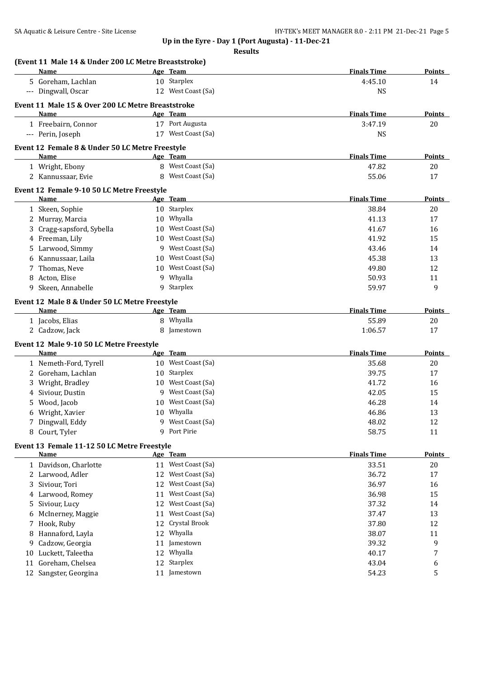| Points        | <b>Finals Time</b> | Age Team                                                                                                                                       |                            | (Event 11 Male 14 & Under 200 LC Metre Breaststroke)<br><b>Name</b>                                                                                                             |                               |
|---------------|--------------------|------------------------------------------------------------------------------------------------------------------------------------------------|----------------------------|---------------------------------------------------------------------------------------------------------------------------------------------------------------------------------|-------------------------------|
| 14            | 4:45.10            | 10 Starplex                                                                                                                                    |                            | 5 Goreham, Lachlan                                                                                                                                                              |                               |
|               | NS                 | 12 West Coast (Sa)                                                                                                                             |                            | --- Dingwall, Oscar                                                                                                                                                             |                               |
|               |                    |                                                                                                                                                |                            |                                                                                                                                                                                 |                               |
|               |                    |                                                                                                                                                |                            | Event 11 Male 15 & Over 200 LC Metre Breaststroke                                                                                                                               |                               |
| Points        | <b>Finals Time</b> | Age Team                                                                                                                                       |                            | Name                                                                                                                                                                            |                               |
| 20            | 3:47.19            | 17 Port Augusta                                                                                                                                |                            | 1 Freebairn, Connor                                                                                                                                                             |                               |
|               | <b>NS</b>          | 17 West Coast (Sa)                                                                                                                             |                            | --- Perin, Joseph                                                                                                                                                               |                               |
|               |                    |                                                                                                                                                |                            | Event 12 Female 8 & Under 50 LC Metre Freestyle                                                                                                                                 |                               |
| Points        | <b>Finals Time</b> | Age Team                                                                                                                                       |                            | <b>Name</b>                                                                                                                                                                     |                               |
| 20            | 47.82              | 8 West Coast (Sa)                                                                                                                              |                            | 1 Wright, Ebony                                                                                                                                                                 |                               |
| 17            | 55.06              | 8 West Coast (Sa)                                                                                                                              |                            | 2 Kannussaar, Evie                                                                                                                                                              |                               |
|               |                    |                                                                                                                                                |                            | Event 12 Female 9-10 50 LC Metre Freestyle                                                                                                                                      |                               |
| Points        | <b>Finals Time</b> | Age Team                                                                                                                                       |                            | Name                                                                                                                                                                            |                               |
| 20            | 38.84              | 10 Starplex                                                                                                                                    |                            | 1 Skeen, Sophie                                                                                                                                                                 |                               |
| 17            | 41.13              | 10 Whyalla                                                                                                                                     |                            | 2 Murray, Marcia                                                                                                                                                                |                               |
| 16            | 41.67              | 10 West Coast (Sa)                                                                                                                             |                            | 3 Cragg-sapsford, Sybella                                                                                                                                                       |                               |
| 15            | 41.92              | 10 West Coast (Sa)                                                                                                                             |                            | 4 Freeman, Lily                                                                                                                                                                 |                               |
| 14            | 43.46              | 9 West Coast (Sa)                                                                                                                              |                            | 5 Larwood, Simmy                                                                                                                                                                |                               |
| 13            | 45.38              | West Coast (Sa)                                                                                                                                | 10                         | Kannussaar, Laila                                                                                                                                                               | 6                             |
| 12            | 49.80              | 10 West Coast (Sa)                                                                                                                             |                            | 7 Thomas, Neve                                                                                                                                                                  |                               |
| 11            | 50.93              | 9 Whyalla                                                                                                                                      |                            | 8 Acton, Elise                                                                                                                                                                  |                               |
| 9             | 59.97              | 9 Starplex                                                                                                                                     |                            | 9 Skeen, Annabelle                                                                                                                                                              |                               |
|               |                    |                                                                                                                                                |                            |                                                                                                                                                                                 |                               |
| <b>Points</b> | <b>Finals Time</b> |                                                                                                                                                |                            | Event 12 Male 8 & Under 50 LC Metre Freestyle<br>Name                                                                                                                           |                               |
|               |                    | Age Team<br>Whyalla                                                                                                                            |                            |                                                                                                                                                                                 |                               |
| 20            | 55.89              | Jamestown                                                                                                                                      | 8<br>8                     | 1 Jacobs, Elias                                                                                                                                                                 |                               |
| 17            | 1:06.57            |                                                                                                                                                |                            | 2 Cadzow, Jack                                                                                                                                                                  |                               |
|               |                    |                                                                                                                                                |                            | Event 12 Male 9-10 50 LC Metre Freestyle                                                                                                                                        |                               |
| Points        | <b>Finals Time</b> | Age Team                                                                                                                                       |                            | Name                                                                                                                                                                            |                               |
| 20            | 35.68              | 10 West Coast (Sa)                                                                                                                             |                            | 1 Nemeth-Ford, Tyrell                                                                                                                                                           |                               |
| 17            | 39.75              | 10 Starplex                                                                                                                                    |                            | 2 Goreham, Lachlan                                                                                                                                                              |                               |
| 16            | 41.72              | 10 West Coast (Sa)                                                                                                                             |                            | Wright, Bradley                                                                                                                                                                 | 3                             |
| 15            | 42.05              | 9 West Coast (Sa)                                                                                                                              |                            | 4 Siviour, Dustin                                                                                                                                                               |                               |
| 14            | 46.28              | 10 West Coast (Sa)                                                                                                                             |                            | Wood, Jacob                                                                                                                                                                     | 5.                            |
| 13            | 46.86              | 10 Whyalla                                                                                                                                     |                            | 6 Wright, Xavier                                                                                                                                                                |                               |
| 12            | 48.02              | 9 West Coast (Sa)                                                                                                                              |                            | 7 Dingwall, Eddy                                                                                                                                                                |                               |
| 11            | 58.75              | 9 Port Pirie                                                                                                                                   |                            | 8 Court, Tyler                                                                                                                                                                  |                               |
|               |                    |                                                                                                                                                |                            | Event 13 Female 11-12 50 LC Metre Freestyle                                                                                                                                     |                               |
| <b>Points</b> | <b>Finals Time</b> | Age Team                                                                                                                                       |                            | Name                                                                                                                                                                            |                               |
| 20            | 33.51              | 11 West Coast (Sa)                                                                                                                             |                            | 1 Davidson, Charlotte                                                                                                                                                           |                               |
| 17            | 36.72              | West Coast (Sa)                                                                                                                                | 12                         | 2 Larwood, Adler                                                                                                                                                                |                               |
| 16            | 36.97              | West Coast (Sa)                                                                                                                                | 12                         | Siviour, Tori                                                                                                                                                                   | 3.                            |
| 15            | 36.98              |                                                                                                                                                |                            |                                                                                                                                                                                 |                               |
| 14            | 37.32              |                                                                                                                                                |                            |                                                                                                                                                                                 |                               |
| 13            | 37.47              |                                                                                                                                                |                            |                                                                                                                                                                                 |                               |
| 12            | 37.80              |                                                                                                                                                |                            |                                                                                                                                                                                 |                               |
| 11            | 38.07              |                                                                                                                                                |                            |                                                                                                                                                                                 |                               |
| 9             | 39.32              |                                                                                                                                                |                            |                                                                                                                                                                                 |                               |
| 7             | 40.17              |                                                                                                                                                |                            |                                                                                                                                                                                 |                               |
|               | 43.04              |                                                                                                                                                |                            |                                                                                                                                                                                 |                               |
| 6<br>5        | 54.23              |                                                                                                                                                |                            |                                                                                                                                                                                 |                               |
|               |                    |                                                                                                                                                |                            |                                                                                                                                                                                 |                               |
|               |                    | West Coast (Sa)<br>West Coast (Sa)<br>West Coast (Sa)<br>Crystal Brook<br>Whyalla<br>11 Jamestown<br>12 Whyalla<br>12 Starplex<br>11 Jamestown | 11<br>12<br>11<br>12<br>12 | 4 Larwood, Romey<br>Siviour, Lucy<br>McInerney, Maggie<br>7 Hook, Ruby<br>Hannaford, Layla<br>Cadzow, Georgia<br>Luckett, Taleetha<br>Goreham, Chelsea<br>12 Sangster, Georgina | 5.<br>6<br>8<br>9<br>10<br>11 |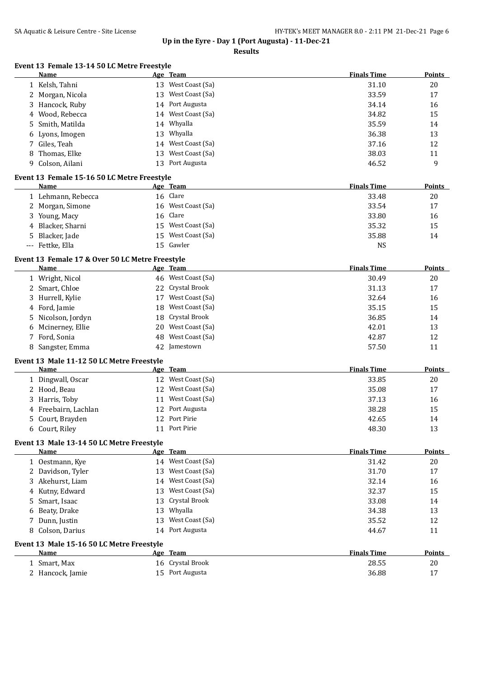**Event 13 Female 13-14 50 LC Metre Freestyle**

**Up in the Eyre - Day 1 (Port Augusta) - 11-Dec-21**

**Results**

| <b>Name</b>                                 | Age Team                                                | <b>Finals Time</b>          | Points        |
|---------------------------------------------|---------------------------------------------------------|-----------------------------|---------------|
| 1 Kelsh, Tahni                              | 13 West Coast (Sa)                                      | 31.10                       | 20            |
| 2 Morgan, Nicola                            | 13 West Coast (Sa)                                      | 33.59                       | 17            |
| 3 Hancock, Ruby                             | 14 Port Augusta                                         | 34.14                       | 16            |
| 4 Wood, Rebecca                             | 14 West Coast (Sa)                                      | 34.82                       | 15            |
| 5 Smith, Matilda                            | 14 Whyalla                                              | 35.59                       | 14            |
| 6 Lyons, Imogen                             | 13 Whyalla                                              | 36.38                       | 13            |
| 7 Giles, Teah                               | 14 West Coast (Sa)                                      | 37.16                       | 12            |
| 8 Thomas, Elke                              | 13 West Coast (Sa)                                      | 38.03                       | 11            |
| 9 Colson, Ailani                            | 13 Port Augusta                                         | 46.52                       | 9             |
| Event 13 Female 15-16 50 LC Metre Freestyle |                                                         |                             |               |
| Name                                        | Age Team                                                | <b>Finals Time</b>          | <b>Points</b> |
| 1 Lehmann, Rebecca                          | 16 Clare                                                | 33.48                       | 20            |
|                                             | $\sim$ $\sim$ $\sim$ $\sim$ $\sim$ $\sim$ $\sim$ $\sim$ | $\sim$ $\sim$ $\sim$ $\sim$ |               |

| 1 Lehmann, Rebecca | 16 Clare           | 33.48     | 20 |
|--------------------|--------------------|-----------|----|
| 2 Morgan, Simone   | 16 West Coast (Sa) | 33.54     | 17 |
| 3 Young, Macy      | 16 Clare           | 33.80     | 16 |
| 4 Blacker, Sharni  | 15 West Coast (Sa) | 35.32     | 15 |
| 5 Blacker, Jade    | 15 West Coast (Sa) | 35.88     | 14 |
| --- Fettke, Ella   | 15 Gawler          | <b>NS</b> |    |

#### **Event 13 Female 17 & Over 50 LC Metre Freestyle**

| Name               |    | Age Team           | <b>Finals Time</b> | <b>Points</b> |
|--------------------|----|--------------------|--------------------|---------------|
| 1 Wright, Nicol    |    | 46 West Coast (Sa) | 30.49              | 20            |
| 2 Smart, Chloe     |    | 22 Crystal Brook   | 31.13              | 17            |
| 3 Hurrell, Kylie   | 17 | West Coast (Sa)    | 32.64              | 16            |
| 4 Ford, Jamie      |    | 18 West Coast (Sa) | 35.15              | 15            |
| 5 Nicolson, Jordyn |    | 18 Crystal Brook   | 36.85              | 14            |
| 6 Mcinerney, Ellie |    | 20 West Coast (Sa) | 42.01              | 13            |
| 7 Ford, Sonia      |    | 48 West Coast (Sa) | 42.87              | 12            |
| 8 Sangster, Emma   |    | 42 Jamestown       | 57.50              | 11            |

#### **Event 13 Male 11-12 50 LC Metre Freestyle**

| Name                 |     | Age Team           | <b>Finals Time</b> | <b>Points</b> |
|----------------------|-----|--------------------|--------------------|---------------|
| 1 Dingwall, Oscar    |     | 12 West Coast (Sa) | 33.85              | 20            |
| 2 Hood, Beau         | 12. | West Coast (Sa)    | 35.08              | 17            |
| 3 Harris, Toby       | 11  | West Coast (Sa)    | 37.13              | 16            |
| 4 Freebairn, Lachlan |     | 12 Port Augusta    | 38.28              | 15            |
| 5 Court, Brayden     |     | 12 Port Pirie      | 42.65              | 14            |
| 6 Court, Riley       |     | 11 Port Pirie      | 48.30              | 13            |

#### **Event 13 Male 13-14 50 LC Metre Freestyle**

| Name              | Age Team              | <b>Finals Time</b> | <b>Points</b> |
|-------------------|-----------------------|--------------------|---------------|
| 1 Oestmann, Kye   | 14 West Coast (Sa)    | 31.42              | 20            |
| 2 Davidson, Tyler | West Coast (Sa)<br>13 | 31.70              | 17            |
| 3 Akehurst, Liam  | 14 West Coast (Sa)    | 32.14              | 16            |
| 4 Kutny, Edward   | West Coast (Sa)<br>13 | 32.37              | 15            |
| 5 Smart, Isaac    | 13 Crystal Brook      | 33.08              | 14            |
| 6 Beaty, Drake    | 13 Whyalla            | 34.38              | 13            |
| 7 Dunn, Justin    | 13 West Coast (Sa)    | 35.52              | 12            |
| 8 Colson, Darius  | 14 Port Augusta       | 44.67              | 11            |
|                   |                       |                    |               |

#### **Event 13 Male 15-16 50 LC Metre Freestyle**

| Name             | Team<br>Age      | <b>Finals Time</b> | <b>Points</b> |
|------------------|------------------|--------------------|---------------|
| Smart, Max       | 16 Crystal Brook | 28.55              | 20            |
| 2 Hancock, Jamie | 15 Port Augusta  | 36.88              |               |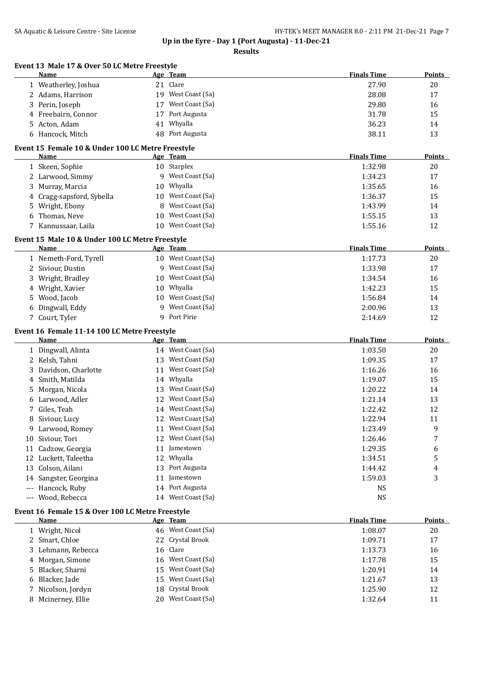|        | Event 13 Male 17 & Over 50 LC Metre Freestyle<br>Name          |    | Age Team           | <b>Finals Time</b> | <b>Points</b>           |
|--------|----------------------------------------------------------------|----|--------------------|--------------------|-------------------------|
|        | 1 Weatherley, Joshua                                           |    | 21 Clare           | 27.90              | 20                      |
|        | 2 Adams, Harrison                                              |    | 19 West Coast (Sa) | 28.08              | 17                      |
|        | 3 Perin, Joseph                                                |    | 17 West Coast (Sa) | 29.80              | 16                      |
|        | 4 Freebairn, Connor                                            | 17 | Port Augusta       | 31.78              | 15                      |
|        | 5 Acton, Adam                                                  | 41 | Whyalla            | 36.23              | 14                      |
|        | 6 Hancock, Mitch                                               |    | 48 Port Augusta    | 38.11              | 13                      |
|        |                                                                |    |                    |                    |                         |
|        | Event 15 Female 10 & Under 100 LC Metre Freestyle<br>Name      |    | Age Team           | <b>Finals Time</b> | <b>Points</b>           |
|        | 1 Skeen, Sophie                                                |    | 10 Starplex        | 1:32.98            | 20                      |
|        | 2 Larwood, Simmy                                               |    | 9 West Coast (Sa)  | 1:34.23            | 17                      |
|        | 3 Murray, Marcia                                               |    | 10 Whyalla         | 1:35.65            | 16                      |
|        | 4 Cragg-sapsford, Sybella                                      | 10 | West Coast (Sa)    | 1:36.37            | 15                      |
| 5      | Wright, Ebony                                                  | 8  | West Coast (Sa)    | 1:43.99            | 14                      |
| 6      | Thomas, Neve                                                   |    | 10 West Coast (Sa) | 1:55.15            | 13                      |
| 7      | Kannussaar, Laila                                              |    | 10 West Coast (Sa) | 1:55.16            | 12                      |
|        |                                                                |    |                    |                    |                         |
|        | Event 15 Male 10 & Under 100 LC Metre Freestyle<br><b>Name</b> |    | Age Team           | <b>Finals Time</b> | <b>Points</b>           |
|        | 1 Nemeth-Ford, Tyrell                                          |    | 10 West Coast (Sa) | 1:17.73            | 20                      |
|        | 2 Siviour, Dustin                                              |    | 9 West Coast (Sa)  | 1:33.98            | 17                      |
|        | 3 Wright, Bradley                                              | 10 | West Coast (Sa)    | 1:34.54            | 16                      |
|        | Wright, Xavier                                                 | 10 | Whyalla            | 1:42.23            | 15                      |
| 4<br>5 | Wood, Jacob                                                    |    | 10 West Coast (Sa) | 1:56.84            | 14                      |
|        |                                                                | Q. | West Coast (Sa)    | 2:00.96            | 13                      |
|        | 6 Dingwall, Eddy<br>7 Court, Tyler                             |    | 9 Port Pirie       |                    | 12                      |
|        |                                                                |    |                    | 2:14.69            |                         |
|        | Event 16 Female 11-14 100 LC Metre Freestyle                   |    |                    |                    |                         |
|        | Name                                                           |    | Age Team           | <b>Finals Time</b> | <b>Points</b>           |
|        | 1 Dingwall, Alinta                                             |    | 14 West Coast (Sa) | 1:03.50            | 20                      |
|        | 2 Kelsh, Tahni                                                 |    | 13 West Coast (Sa) | 1:09.35            | 17                      |
| 3      | Davidson, Charlotte                                            |    | 11 West Coast (Sa) | 1:16.26            | 16                      |
| 4      | Smith, Matilda                                                 |    | 14 Whyalla         | 1:19.07            | 15                      |
| 5      | Morgan, Nicola                                                 |    | 13 West Coast (Sa) | 1:20.22            | 14                      |
|        | 6 Larwood, Adler                                               |    | 12 West Coast (Sa) | 1:21.14            | 13                      |
| 7      | Giles, Teah                                                    |    | 14 West Coast (Sa) | 1:22.42            | 12                      |
| 8      | Siviour, Lucy                                                  |    | 12 West Coast (Sa) | 1:22.94            | 11                      |
|        | 9 Larwood, Romey                                               |    | 11 West Coast (Sa) | 1:23.49            | 9                       |
|        | 10 Siviour, Tori                                               | 12 | West Coast (Sa)    | 1:26.46            | 7                       |
| 11     | Cadzow, Georgia                                                | 11 | Jamestown          | 1:29.35            | 6                       |
| 12     | Luckett, Taleetha                                              | 12 | Whyalla            | 1:34.51            | 5                       |
| 13     | Colson, Ailani                                                 | 13 | Port Augusta       | 1:44.42            | $\overline{\mathbf{4}}$ |
| 14     | Sangster, Georgina                                             | 11 | Jamestown          | 1:59.03            | 3                       |
|        | Hancock, Ruby                                                  | 14 | Port Augusta       | <b>NS</b>          |                         |
| $---$  | Wood, Rebecca                                                  |    | 14 West Coast (Sa) | <b>NS</b>          |                         |
|        | Event 16 Female 15 & Over 100 LC Metre Freestyle               |    |                    |                    |                         |
|        | Name                                                           |    | Age Team           | <b>Finals Time</b> | Points                  |
|        | 1 Wright, Nicol                                                |    | 46 West Coast (Sa) | 1:08.07            | 20                      |
|        | 2 Smart, Chloe                                                 | 22 | Crystal Brook      | 1:09.71            | 17                      |
| 3      | Lehmann, Rebecca                                               | 16 | Clare              | 1:13.73            | 16                      |
| 4      | Morgan, Simone                                                 | 16 | West Coast (Sa)    | 1:17.78            | 15                      |
| 5      | Blacker, Sharni                                                | 15 | West Coast (Sa)    | 1:20.91            | 14                      |
| 6      | Blacker, Jade                                                  | 15 | West Coast (Sa)    | 1:21.67            | 13                      |
|        | Nicolson, Jordyn                                               | 18 | Crystal Brook      | 1:25.90            | 12                      |
| 7      |                                                                |    |                    |                    |                         |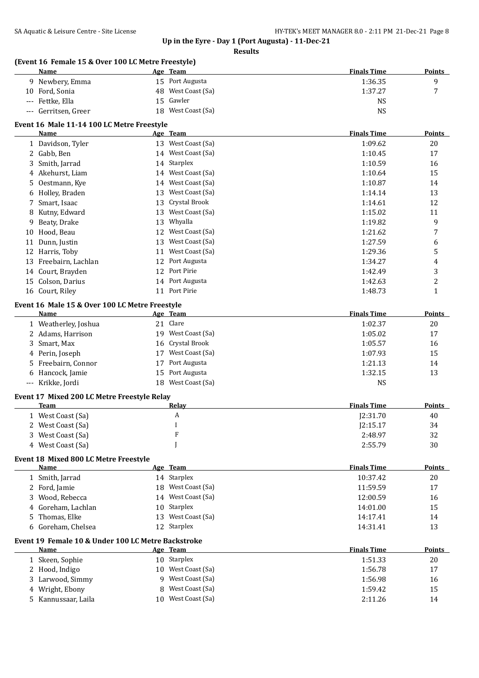|                     | (Event 16 Female 15 & Over 100 LC Metre Freestyle)<br>Name |    | Age Team             | <b>Finals Time</b> | Points         |
|---------------------|------------------------------------------------------------|----|----------------------|--------------------|----------------|
|                     | 9 Newbery, Emma                                            |    | 15 Port Augusta      | 1:36.35            | 9              |
| 10                  | Ford, Sonia                                                | 48 | West Coast (Sa)      | 1:37.27            | 7              |
| $\qquad \qquad - -$ | Fettke, Ella                                               | 15 | Gawler               | <b>NS</b>          |                |
|                     | --- Gerritsen, Greer                                       | 18 | West Coast (Sa)      | <b>NS</b>          |                |
|                     | Event 16 Male 11-14 100 LC Metre Freestyle                 |    |                      |                    |                |
|                     | Name                                                       |    | Age Team             | <b>Finals Time</b> | Points         |
|                     | 1 Davidson, Tyler                                          |    | 13 West Coast (Sa)   | 1:09.62            | 20             |
|                     | 2 Gabb, Ben                                                |    | 14 West Coast (Sa)   | 1:10.45            | 17             |
| 3                   | Smith, Jarrad                                              |    | 14 Starplex          | 1:10.59            | 16             |
| 4                   | Akehurst, Liam                                             |    | 14 West Coast (Sa)   | 1:10.64            | 15             |
| 5                   | Oestmann, Kye                                              |    | 14 West Coast (Sa)   | 1:10.87            | 14             |
| 6                   | Holley, Braden                                             | 13 | West Coast (Sa)      | 1:14.14            | 13             |
| 7                   | Smart, Isaac                                               | 13 | Crystal Brook        | 1:14.61            | 12             |
| 8                   | Kutny, Edward                                              | 13 | West Coast (Sa)      | 1:15.02            | 11             |
| 9                   | Beaty, Drake                                               | 13 | Whyalla              | 1:19.82            | 9              |
| 10                  | Hood, Beau                                                 |    | 12 West Coast (Sa)   | 1:21.62            | 7              |
|                     | 11 Dunn, Justin                                            |    | 13 West Coast (Sa)   | 1:27.59            | 6              |
|                     | 12 Harris, Toby                                            |    | 11 West Coast (Sa)   | 1:29.36            | 5              |
|                     | 13 Freebairn, Lachlan                                      |    | 12 Port Augusta      | 1:34.27            | 4              |
|                     | 14 Court, Brayden                                          |    | 12 Port Pirie        | 1:42.49            | 3              |
| 15                  | Colson, Darius                                             |    | 14 Port Augusta      | 1:42.63            | $\overline{c}$ |
|                     | 16 Court, Riley                                            |    | 11 Port Pirie        | 1:48.73            | 1              |
|                     |                                                            |    |                      |                    |                |
|                     | Event 16 Male 15 & Over 100 LC Metre Freestyle             |    |                      |                    |                |
|                     | Name                                                       |    | Age Team<br>21 Clare | <b>Finals Time</b> | <b>Points</b>  |
|                     | 1 Weatherley, Joshua                                       |    |                      | 1:02.37            | 20             |
|                     | 2 Adams, Harrison                                          | 19 | West Coast (Sa)      | 1:05.02            | 17             |
| 3                   | Smart, Max                                                 | 16 | Crystal Brook        | 1:05.57            | 16             |
| 4                   | Perin, Joseph                                              | 17 | West Coast (Sa)      | 1:07.93            | 15             |
| 5                   | Freebairn, Connor                                          | 17 | Port Augusta         | 1:21.13            | 14             |
| 6                   | Hancock, Jamie                                             | 15 | Port Augusta         | 1:32.15            | 13             |
|                     | --- Krikke, Jordi                                          | 18 | West Coast (Sa)      | <b>NS</b>          |                |
|                     | Event 17 Mixed 200 LC Metre Freestyle Relay                |    |                      |                    |                |
|                     | Team                                                       |    | Relay                | <b>Finals Time</b> | <b>Points</b>  |
|                     | 1 West Coast (Sa)                                          |    | A                    | J2:31.70           | 40             |
| 2.                  | West Coast (Sa)                                            |    | I                    | J2:15.17           | 34             |
| 3.                  | West Coast (Sa)                                            |    | ${\bf F}$            | 2:48.97            | 32             |
|                     | 4 West Coast (Sa)                                          |    |                      | 2:55.79            | 30             |
|                     | Event 18 Mixed 800 LC Metre Freestyle                      |    |                      |                    |                |
|                     | Name                                                       |    | Age Team             | <b>Finals Time</b> | <b>Points</b>  |
|                     | 1 Smith, Jarrad                                            |    | 14 Starplex          | 10:37.42           | 20             |
|                     | 2 Ford, Jamie                                              | 18 | West Coast (Sa)      | 11:59.59           | 17             |
| 3                   | Wood, Rebecca                                              | 14 | West Coast (Sa)      | 12:00.59           | 16             |
| 4                   | Goreham, Lachlan                                           | 10 | Starplex             | 14:01.00           | 15             |
| 5                   | Thomas, Elke                                               | 13 | West Coast (Sa)      | 14:17.41           | 14             |
| 6                   | Goreham, Chelsea                                           |    | 12 Starplex          | 14:31.41           | 13             |
|                     | Event 19 Female 10 & Under 100 LC Metre Backstroke         |    |                      |                    |                |
|                     | Name                                                       |    | Age Team             | <b>Finals Time</b> | <b>Points</b>  |
|                     | 1 Skeen, Sophie                                            | 10 | Starplex             | 1:51.33            | 20             |
| 2                   | Hood, Indigo                                               | 10 | West Coast (Sa)      | 1:56.78            | 17             |
| 3                   | Larwood, Simmy                                             | q  | West Coast (Sa)      | 1:56.98            | 16             |
| 4                   | Wright, Ebony                                              | 8  | West Coast (Sa)      | 1:59.42            | 15             |
| 5.                  | Kannussaar, Laila                                          | 10 | West Coast (Sa)      | 2:11.26            | 14             |
|                     |                                                            |    |                      |                    |                |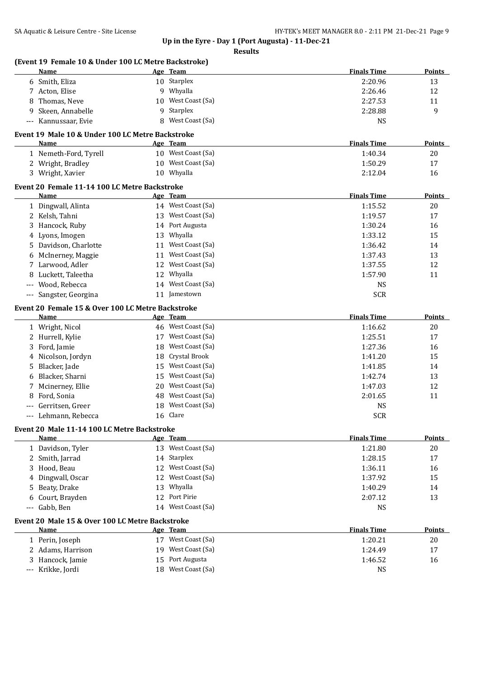| Name        | (Event 19 Female 10 & Under 100 LC Metre Backstroke) |    | Age Team                           | <b>Finals Time</b>   | <b>Points</b> |
|-------------|------------------------------------------------------|----|------------------------------------|----------------------|---------------|
|             | 6 Smith, Eliza                                       |    | 10 Starplex                        | 2:20.96              | 13            |
|             | 7 Acton, Elise                                       |    | 9 Whyalla                          | 2:26.46              | 12            |
| 8           | Thomas, Neve                                         | 10 | West Coast (Sa)                    | 2:27.53              | 11            |
| 9           | Skeen, Annabelle                                     | 9  | Starplex                           | 2:28.88              | 9             |
| $\cdots$    | Kannussaar, Evie                                     | 8  | West Coast (Sa)                    | <b>NS</b>            |               |
|             | Event 19 Male 10 & Under 100 LC Metre Backstroke     |    |                                    |                      |               |
| Name        |                                                      |    | Age Team                           | <b>Finals Time</b>   | <b>Points</b> |
|             | 1 Nemeth-Ford, Tyrell                                |    | 10 West Coast (Sa)                 | 1:40.34              | 20            |
|             | 2 Wright, Bradley                                    | 10 | West Coast (Sa)                    | 1:50.29              | 17            |
|             | 3 Wright, Xavier                                     |    | 10 Whyalla                         | 2:12.04              | 16            |
|             | Event 20 Female 11-14 100 LC Metre Backstroke        |    |                                    |                      |               |
| Name        |                                                      |    | Age Team                           | <b>Finals Time</b>   | Points        |
|             | 1 Dingwall, Alinta                                   |    | 14 West Coast (Sa)                 | 1:15.52              | 20            |
|             | 2 Kelsh, Tahni                                       |    | 13 West Coast (Sa)                 | 1:19.57              | 17            |
| 3           | Hancock, Ruby                                        |    | 14 Port Augusta                    | 1:30.24              | 16            |
| 4           | Lyons, Imogen                                        | 13 | Whyalla                            | 1:33.12              | 15            |
| 5.          | Davidson, Charlotte                                  | 11 | West Coast (Sa)                    | 1:36.42              | 14            |
| 6           | McInerney, Maggie                                    | 11 | West Coast (Sa)                    | 1:37.43              | 13            |
|             | 7 Larwood, Adler                                     | 12 | West Coast (Sa)                    | 1:37.55              | 12            |
| 8           | Luckett, Taleetha                                    | 12 | Whyalla                            | 1:57.90              | 11            |
| ---         | Wood, Rebecca                                        |    | 14 West Coast (Sa)                 | <b>NS</b>            |               |
| $\cdots$    | Sangster, Georgina                                   |    | 11 Jamestown                       | <b>SCR</b>           |               |
|             | Event 20 Female 15 & Over 100 LC Metre Backstroke    |    |                                    |                      |               |
| Name        |                                                      |    | Age Team                           | <b>Finals Time</b>   | Points        |
|             | 1 Wright, Nicol                                      |    | 46 West Coast (Sa)                 | 1:16.62              | 20            |
| 2           | Hurrell, Kylie                                       | 17 | West Coast (Sa)                    | 1:25.51              | 17            |
| 3           | Ford, Jamie                                          | 18 | West Coast (Sa)                    | 1:27.36              | 16            |
| 4           | Nicolson, Jordyn                                     | 18 | Crystal Brook                      | 1:41.20              | 15            |
| 5           | Blacker, Jade                                        | 15 | West Coast (Sa)                    | 1:41.85              | 14            |
| 6           | Blacker, Sharni                                      | 15 | West Coast (Sa)                    | 1:42.74              | 13            |
| 7           | Mcinerney, Ellie                                     | 20 | West Coast (Sa)                    | 1:47.03              | 12            |
| 8           | Ford, Sonia                                          |    | 48 West Coast (Sa)                 | 2:01.65              | 11            |
|             | Gerritsen, Greer                                     |    | 18 West Coast (Sa)                 | <b>NS</b>            |               |
|             | Lehmann, Rebecca                                     |    | 16 Clare                           | <b>SCR</b>           |               |
|             | Event 20 Male 11-14 100 LC Metre Backstroke          |    |                                    |                      |               |
| Name        |                                                      |    | Age Team                           | <b>Finals Time</b>   | <b>Points</b> |
|             | 1 Davidson, Tyler                                    |    | 13 West Coast (Sa)                 | 1:21.80              | 20            |
| 2           | Smith, Jarrad                                        |    | 14 Starplex                        | 1:28.15              | 17            |
| 3           | Hood, Beau                                           | 12 | West Coast (Sa)                    | 1:36.11              | 16            |
| 4           | Dingwall, Oscar                                      | 12 | West Coast (Sa)                    | 1:37.92              | 15            |
| 5           | Beaty, Drake                                         | 13 | Whyalla                            | 1:40.29              | 14            |
| 6           | Court, Brayden                                       | 12 | Port Pirie                         | 2:07.12              | 13            |
| $-\, -\, -$ | Gabb, Ben                                            |    | 14 West Coast (Sa)                 | <b>NS</b>            |               |
| Name        | Event 20 Male 15 & Over 100 LC Metre Backstroke      |    |                                    | <b>Finals Time</b>   | <b>Points</b> |
|             |                                                      |    | Age Team<br>17 West Coast (Sa)     | 1:20.21              | 20            |
|             | 1 Perin, Joseph                                      |    | West Coast (Sa)                    |                      |               |
|             | 2 Adams, Harrison                                    | 19 |                                    | 1:24.49              | 17            |
|             | 3 Hancock, Jamie<br>--- Krikke, Jordi                | 15 | Port Augusta<br>18 West Coast (Sa) | 1:46.52<br><b>NS</b> | 16            |
|             |                                                      |    |                                    |                      |               |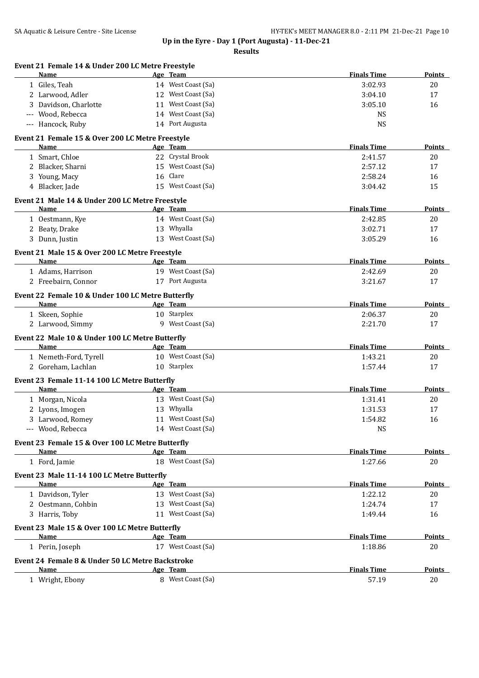| Event 21 Female 14 & Under 200 LC Metre Freestyle<br>Name | Age Team                         | <b>Finals Time</b> | <b>Points</b> |
|-----------------------------------------------------------|----------------------------------|--------------------|---------------|
| 1 Giles, Teah                                             | 14 West Coast (Sa)               | 3:02.93            | 20            |
| 2 Larwood, Adler                                          | 12 West Coast (Sa)               | 3:04.10            | 17            |
| 3 Davidson, Charlotte                                     | 11 West Coast (Sa)               | 3:05.10            | 16            |
| --- Wood, Rebecca                                         | 14 West Coast (Sa)               | <b>NS</b>          |               |
| --- Hancock, Ruby                                         | 14 Port Augusta                  | <b>NS</b>          |               |
| Event 21 Female 15 & Over 200 LC Metre Freestyle          |                                  |                    |               |
| Name                                                      | Age Team                         | <b>Finals Time</b> | Points        |
| 1 Smart, Chloe                                            | 22 Crystal Brook                 | 2:41.57            | 20            |
| 2 Blacker, Sharni                                         | 15 West Coast (Sa)               | 2:57.12            | 17            |
| 3 Young, Macy                                             | 16 Clare                         | 2:58.24            | 16            |
| 4 Blacker, Jade                                           | 15 West Coast (Sa)               | 3:04.42            | 15            |
| Event 21 Male 14 & Under 200 LC Metre Freestyle           |                                  | <b>Finals Time</b> |               |
| Name                                                      | Age Team                         |                    | Points        |
| 1 Oestmann, Kye                                           | 14 West Coast (Sa)               | 2:42.85            | 20            |
| 2 Beaty, Drake                                            | 13 Whyalla<br>13 West Coast (Sa) | 3:02.71<br>3:05.29 | 17            |
| 3 Dunn, Justin                                            |                                  |                    | 16            |
| Event 21 Male 15 & Over 200 LC Metre Freestyle<br>Name    | Age Team                         | <b>Finals Time</b> | Points        |
| 1 Adams, Harrison                                         | 19 West Coast (Sa)               | 2:42.69            | 20            |
| 2 Freebairn, Connor                                       | 17 Port Augusta                  | 3:21.67            | 17            |
|                                                           |                                  |                    |               |
| Event 22 Female 10 & Under 100 LC Metre Butterfly<br>Name |                                  | <b>Finals Time</b> | Points        |
|                                                           | Age Team                         |                    |               |
| 1 Skeen, Sophie                                           | 10 Starplex<br>9 West Coast (Sa) | 2:06.37<br>2:21.70 | 20            |
| 2 Larwood, Simmy                                          |                                  |                    | 17            |
| Event 22 Male 10 & Under 100 LC Metre Butterfly           |                                  | <b>Finals Time</b> |               |
| Name                                                      | Age Team<br>10 West Coast (Sa)   |                    | Points        |
| 1 Nemeth-Ford, Tyrell<br>2 Goreham, Lachlan               | 10 Starplex                      | 1:43.21<br>1:57.44 | 20<br>17      |
|                                                           |                                  |                    |               |
| Event 23 Female 11-14 100 LC Metre Butterfly<br>Name      | Age Team                         | <b>Finals Time</b> | Points        |
|                                                           | 13 West Coast (Sa)               |                    |               |
| 1 Morgan, Nicola<br>2 Lyons, Imogen                       | 13 Whyalla                       | 1:31.41            | 20            |
| 3 Larwood, Romey                                          | 11 West Coast (Sa)               | 1:31.53<br>1:54.82 | 17<br>16      |
| --- Wood, Rebecca                                         | 14 West Coast (Sa)               | <b>NS</b>          |               |
|                                                           |                                  |                    |               |
| Event 23 Female 15 & Over 100 LC Metre Butterfly<br>Name  | Age Team                         | <b>Finals Time</b> | <b>Points</b> |
| 1 Ford, Jamie                                             | 18 West Coast (Sa)               | 1:27.66            | 20            |
| Event 23 Male 11-14 100 LC Metre Butterfly                |                                  |                    |               |
| <b>Name</b>                                               | Age Team                         | <b>Finals Time</b> | Points        |
| 1 Davidson, Tyler                                         | 13 West Coast (Sa)               | 1:22.12            | 20            |
| 2 Oestmann, Cohbin                                        | 13 West Coast (Sa)               | 1:24.74            | 17            |
| 3 Harris, Toby                                            | 11 West Coast (Sa)               | 1:49.44            | 16            |
| Event 23 Male 15 & Over 100 LC Metre Butterfly            |                                  |                    |               |
| Name                                                      | Age Team                         | <b>Finals Time</b> | Points        |
| 1 Perin, Joseph                                           | 17 West Coast (Sa)               | 1:18.86            | 20            |
| Event 24 Female 8 & Under 50 LC Metre Backstroke          |                                  |                    |               |
| Name                                                      | Age Team                         | <b>Finals Time</b> | Points        |
| 1 Wright, Ebony                                           | 8 West Coast (Sa)                | 57.19              | 20            |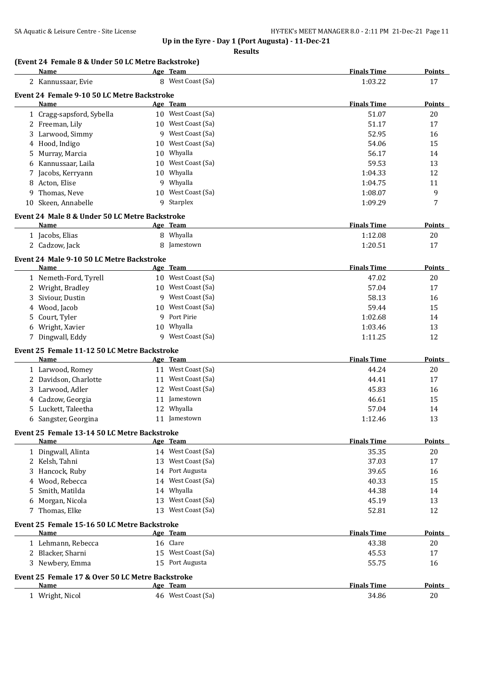#### **Results**

### **(Event 24 Female 8 & Under 50 LC Metre Backstroke)**

| 8 West Coast (Sa)<br>2 Kannussaar, Evie<br>Event 24 Female 9-10 50 LC Metre Backstroke<br>Name<br>Age Team<br>10 West Coast (Sa)<br>1 Cragg-sapsford, Sybella | 1:03.22<br><b>Finals Time</b><br>51.07<br>51.17<br>52.95<br>54.06 | 17<br><b>Points</b><br>20<br>17 |
|---------------------------------------------------------------------------------------------------------------------------------------------------------------|-------------------------------------------------------------------|---------------------------------|
|                                                                                                                                                               |                                                                   |                                 |
|                                                                                                                                                               |                                                                   |                                 |
|                                                                                                                                                               |                                                                   |                                 |
|                                                                                                                                                               |                                                                   |                                 |
| 10 West Coast (Sa)<br>2 Freeman, Lily                                                                                                                         |                                                                   |                                 |
| West Coast (Sa)<br>3 Larwood, Simmy<br>9                                                                                                                      |                                                                   | 16                              |
| West Coast (Sa)<br>4 Hood, Indigo<br>10                                                                                                                       |                                                                   | 15                              |
| Whyalla<br>5 Murray, Marcia<br>10                                                                                                                             | 56.17                                                             | 14                              |
| West Coast (Sa)<br>10<br>6 Kannussaar, Laila                                                                                                                  | 59.53                                                             | 13                              |
| Whyalla<br>Jacobs, Kerryann<br>10<br>7                                                                                                                        | 1:04.33                                                           | 12                              |
| Whyalla<br>9<br>Acton, Elise<br>8                                                                                                                             | 1:04.75                                                           | 11                              |
| West Coast (Sa)<br>Thomas, Neve<br>10<br>9                                                                                                                    | 1:08.07                                                           | 9                               |
| Starplex<br>10 Skeen, Annabelle<br>9                                                                                                                          | 1:09.29                                                           | 7                               |
|                                                                                                                                                               |                                                                   |                                 |
| Event 24 Male 8 & Under 50 LC Metre Backstroke<br>Name<br>Age Team                                                                                            | <b>Finals Time</b>                                                | <b>Points</b>                   |
| 8 Whyalla<br>1 Jacobs, Elias                                                                                                                                  | 1:12.08                                                           | 20                              |
| 2 Cadzow, Jack<br>8<br>Jamestown                                                                                                                              | 1:20.51                                                           | 17                              |
|                                                                                                                                                               |                                                                   |                                 |
| Event 24 Male 9-10 50 LC Metre Backstroke                                                                                                                     |                                                                   |                                 |
| Name<br>Age Team<br>10 West Coast (Sa)                                                                                                                        | <b>Finals Time</b><br>47.02                                       | Points                          |
| 1 Nemeth-Ford, Tyrell                                                                                                                                         |                                                                   | 20                              |
| West Coast (Sa)<br>2 Wright, Bradley<br>10<br>West Coast (Sa)                                                                                                 | 57.04                                                             | 17                              |
| Siviour, Dustin<br>3<br>9                                                                                                                                     | 58.13                                                             | 16                              |
| West Coast (Sa)<br>Wood, Jacob<br>10<br>4                                                                                                                     | 59.44                                                             | 15                              |
| Port Pirie<br>Court, Tyler<br>9<br>5                                                                                                                          | 1:02.68                                                           | 14                              |
| 10 Whyalla<br>Wright, Xavier<br>6                                                                                                                             | 1:03.46                                                           | 13                              |
| West Coast (Sa)<br>7 Dingwall, Eddy<br>9                                                                                                                      | 1:11.25                                                           | 12                              |
| Event 25 Female 11-12 50 LC Metre Backstroke                                                                                                                  |                                                                   |                                 |
| Name<br>Age Team                                                                                                                                              | <b>Finals Time</b>                                                | <b>Points</b>                   |
| 11 West Coast (Sa)<br>1 Larwood, Romey                                                                                                                        | 44.24                                                             | 20                              |
| 11 West Coast (Sa)<br>2 Davidson, Charlotte                                                                                                                   | 44.41                                                             | 17                              |
| 12 West Coast (Sa)<br>Larwood, Adler<br>3                                                                                                                     | 45.83                                                             | 16                              |
| 4 Cadzow, Georgia<br>11 Jamestown                                                                                                                             | 46.61                                                             | 15                              |
| 12 Whyalla<br>Luckett, Taleetha<br>5.                                                                                                                         | 57.04                                                             | 14                              |
| 11 Jamestown<br>6 Sangster, Georgina                                                                                                                          | 1:12.46                                                           | 13                              |
| Event 25 Female 13-14 50 LC Metre Backstroke                                                                                                                  |                                                                   |                                 |
| Name<br>Age Team                                                                                                                                              | <b>Finals Time</b>                                                | <b>Points</b>                   |
| 14 West Coast (Sa)<br>1 Dingwall, Alinta                                                                                                                      | 35.35                                                             | 20                              |
| 13 West Coast (Sa)<br>2 Kelsh, Tahni                                                                                                                          | 37.03                                                             | 17                              |
| 14 Port Augusta<br>Hancock, Ruby<br>3                                                                                                                         | 39.65                                                             | 16                              |
| West Coast (Sa)<br>Wood, Rebecca<br>14<br>4                                                                                                                   | 40.33                                                             | 15                              |
| Whyalla<br>Smith, Matilda<br>14<br>5                                                                                                                          | 44.38                                                             | 14                              |
| West Coast (Sa)<br>Morgan, Nicola<br>13<br>6                                                                                                                  | 45.19                                                             | 13                              |
| 7 Thomas, Elke<br>13 West Coast (Sa)                                                                                                                          | 52.81                                                             | 12                              |
| Event 25 Female 15-16 50 LC Metre Backstroke                                                                                                                  |                                                                   |                                 |
| Name<br><u>Age Team</u>                                                                                                                                       | <b>Finals Time</b>                                                | Points                          |
| 16 Clare<br>1 Lehmann, Rebecca                                                                                                                                | 43.38                                                             | 20                              |
| 2 Blacker, Sharni<br>15 West Coast (Sa)                                                                                                                       | 45.53                                                             | 17                              |
| 15 Port Augusta<br>3 Newbery, Emma                                                                                                                            | 55.75                                                             | 16                              |
| Event 25 Female 17 & Over 50 LC Metre Backstroke                                                                                                              |                                                                   |                                 |
| Name<br>Age Team                                                                                                                                              | <b>Finals Time</b>                                                | <b>Points</b>                   |
| 46 West Coast (Sa)<br>1 Wright, Nicol                                                                                                                         | 34.86                                                             | 20                              |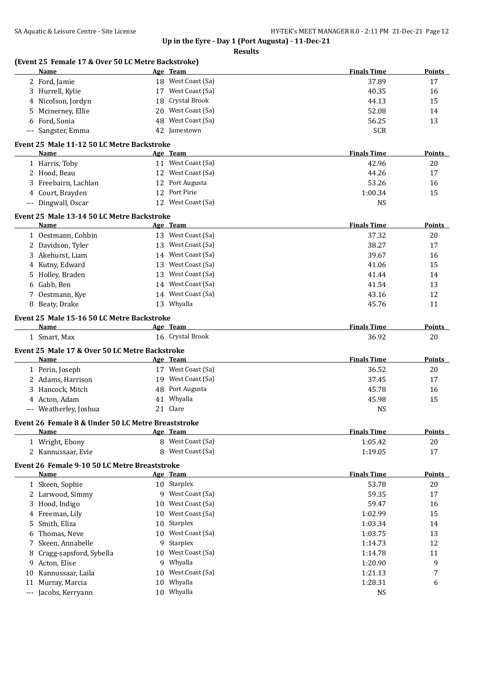| Age Team<br>18 West Coast (Sa)<br>2 Ford, Jamie<br>37.89<br>17<br>17 West Coast (Sa)<br>3 Hurrell, Kylie<br>40.35<br>16<br>Crystal Brook<br>15<br>4 Nicolson, Jordyn<br>18<br>44.13<br>West Coast (Sa)<br>52.08<br>Mcinerney, Ellie<br>20<br>14<br>5.<br>West Coast (Sa)<br>Ford, Sonia<br>48<br>56.25<br>13<br>6<br><b>SCR</b><br>Sangster, Emma<br>42 Jamestown<br>Event 25 Male 11-12 50 LC Metre Backstroke<br><b>Finals Time</b><br>Name<br>Points<br>Age Team<br>11 West Coast (Sa)<br>42.96<br>1 Harris, Toby<br>20<br>12 West Coast (Sa)<br>2 Hood, Beau<br>44.26<br>17<br>12 Port Augusta<br>53.26<br>3 Freebairn, Lachlan<br>16<br>Port Pirie<br>4 Court, Brayden<br>15<br>12<br>1:00.34<br>12 West Coast (Sa)<br>--- Dingwall, Oscar<br><b>NS</b><br>Event 25 Male 13-14 50 LC Metre Backstroke<br><b>Finals Time</b><br>Name<br>Age Team<br>Points<br>13 West Coast (Sa)<br>1 Oestmann, Cohbin<br>37.32<br>20<br>13 West Coast (Sa)<br>2 Davidson, Tyler<br>38.27<br>17<br>14 West Coast (Sa)<br>3 Akehurst, Liam<br>39.67<br>16<br>West Coast (Sa)<br>Kutny, Edward<br>41.06<br>15<br>13<br>4<br>West Coast (Sa)<br>Holley, Braden<br>41.44<br>14<br>13<br>5.<br>West Coast (Sa)<br>Gabb, Ben<br>41.54<br>13<br>14<br>6<br>West Coast (Sa)<br>Oestmann, Kye<br>43.16<br>12<br>7<br>14<br>13 Whyalla<br>45.76<br>8 Beaty, Drake<br>11<br>Event 25 Male 15-16 50 LC Metre Backstroke<br><b>Finals Time</b><br>Name<br>Age Team<br>Points<br>16 Crystal Brook<br>36.92<br>20<br>1 Smart, Max<br>Event 25 Male 17 & Over 50 LC Metre Backstroke<br><b>Finals Time</b><br><b>Points</b><br>Age Team<br>Name<br>17 West Coast (Sa)<br>36.52<br>20<br>1 Perin, Joseph<br>19 West Coast (Sa)<br>2 Adams, Harrison<br>37.45<br>17<br>48 Port Augusta<br>3 Hancock, Mitch<br>45.78<br>16<br>4 Acton, Adam<br>41 Whyalla<br>45.98<br>15<br>21 Clare<br>--- Weatherley, Joshua<br><b>NS</b><br>Event 26 Female 8 & Under 50 LC Metre Breaststroke<br><b>Finals Time</b><br>Name<br>Age Team<br>8 West Coast (Sa)<br>1 Wright, Ebony<br>1:05.42<br>20<br>West Coast (Sa)<br>2 Kannussaar, Evie<br>17<br>8<br>1:19.05<br>Event 26 Female 9-10 50 LC Metre Breaststroke<br><b>Finals Time</b><br>Name<br>Age Team<br>1 Skeen, Sophie<br>10 Starplex<br>53.78<br>$20\,$<br>9 West Coast (Sa)<br>2 Larwood, Simmy<br>59.35<br>17<br>West Coast (Sa)<br>3 Hood, Indigo<br>59.47<br>16<br>10<br>West Coast (Sa)<br>Freeman, Lily<br>1:02.99<br>15<br>10<br>4<br>Starplex<br>Smith, Eliza<br>1:03.34<br>14<br>10<br>5<br>West Coast (Sa)<br>Thomas, Neve<br>13<br>1:03.75<br>10<br>6<br>Starplex<br>Skeen, Annabelle<br>1:14.73<br>12<br>7<br>9<br>West Coast (Sa)<br>Cragg-sapsford, Sybella<br>1:14.78<br>11<br>8<br>10<br>Whyalla<br>9<br>9 Acton, Elise<br>1:20.90<br>9<br>West Coast (Sa)<br>Kannussaar, Laila<br>7<br>1:21.13<br>10<br>10<br>Whyalla<br>Murray, Marcia<br>1:28.31<br>6<br>10<br>11<br>--- Jacobs, Kerryann<br>10 Whyalla<br>NS | (Event 25 Female 17 & Over 50 LC Metre Backstroke)<br>Name |  | <b>Finals Time</b> | Points        |
|-----------------------------------------------------------------------------------------------------------------------------------------------------------------------------------------------------------------------------------------------------------------------------------------------------------------------------------------------------------------------------------------------------------------------------------------------------------------------------------------------------------------------------------------------------------------------------------------------------------------------------------------------------------------------------------------------------------------------------------------------------------------------------------------------------------------------------------------------------------------------------------------------------------------------------------------------------------------------------------------------------------------------------------------------------------------------------------------------------------------------------------------------------------------------------------------------------------------------------------------------------------------------------------------------------------------------------------------------------------------------------------------------------------------------------------------------------------------------------------------------------------------------------------------------------------------------------------------------------------------------------------------------------------------------------------------------------------------------------------------------------------------------------------------------------------------------------------------------------------------------------------------------------------------------------------------------------------------------------------------------------------------------------------------------------------------------------------------------------------------------------------------------------------------------------------------------------------------------------------------------------------------------------------------------------------------------------------------------------------------------------------------------------------------------------------------------------------------------------------------------------------------------------------------------------------------------------------------------------------------------------------------------------------------------------------------------------------------------------------------------------------------------------------------------------------------------------------------------------------------------------------------------------------------------------------------------|------------------------------------------------------------|--|--------------------|---------------|
|                                                                                                                                                                                                                                                                                                                                                                                                                                                                                                                                                                                                                                                                                                                                                                                                                                                                                                                                                                                                                                                                                                                                                                                                                                                                                                                                                                                                                                                                                                                                                                                                                                                                                                                                                                                                                                                                                                                                                                                                                                                                                                                                                                                                                                                                                                                                                                                                                                                                                                                                                                                                                                                                                                                                                                                                                                                                                                                                               |                                                            |  |                    |               |
|                                                                                                                                                                                                                                                                                                                                                                                                                                                                                                                                                                                                                                                                                                                                                                                                                                                                                                                                                                                                                                                                                                                                                                                                                                                                                                                                                                                                                                                                                                                                                                                                                                                                                                                                                                                                                                                                                                                                                                                                                                                                                                                                                                                                                                                                                                                                                                                                                                                                                                                                                                                                                                                                                                                                                                                                                                                                                                                                               |                                                            |  |                    |               |
|                                                                                                                                                                                                                                                                                                                                                                                                                                                                                                                                                                                                                                                                                                                                                                                                                                                                                                                                                                                                                                                                                                                                                                                                                                                                                                                                                                                                                                                                                                                                                                                                                                                                                                                                                                                                                                                                                                                                                                                                                                                                                                                                                                                                                                                                                                                                                                                                                                                                                                                                                                                                                                                                                                                                                                                                                                                                                                                                               |                                                            |  |                    |               |
|                                                                                                                                                                                                                                                                                                                                                                                                                                                                                                                                                                                                                                                                                                                                                                                                                                                                                                                                                                                                                                                                                                                                                                                                                                                                                                                                                                                                                                                                                                                                                                                                                                                                                                                                                                                                                                                                                                                                                                                                                                                                                                                                                                                                                                                                                                                                                                                                                                                                                                                                                                                                                                                                                                                                                                                                                                                                                                                                               |                                                            |  |                    |               |
|                                                                                                                                                                                                                                                                                                                                                                                                                                                                                                                                                                                                                                                                                                                                                                                                                                                                                                                                                                                                                                                                                                                                                                                                                                                                                                                                                                                                                                                                                                                                                                                                                                                                                                                                                                                                                                                                                                                                                                                                                                                                                                                                                                                                                                                                                                                                                                                                                                                                                                                                                                                                                                                                                                                                                                                                                                                                                                                                               |                                                            |  |                    |               |
|                                                                                                                                                                                                                                                                                                                                                                                                                                                                                                                                                                                                                                                                                                                                                                                                                                                                                                                                                                                                                                                                                                                                                                                                                                                                                                                                                                                                                                                                                                                                                                                                                                                                                                                                                                                                                                                                                                                                                                                                                                                                                                                                                                                                                                                                                                                                                                                                                                                                                                                                                                                                                                                                                                                                                                                                                                                                                                                                               |                                                            |  |                    |               |
|                                                                                                                                                                                                                                                                                                                                                                                                                                                                                                                                                                                                                                                                                                                                                                                                                                                                                                                                                                                                                                                                                                                                                                                                                                                                                                                                                                                                                                                                                                                                                                                                                                                                                                                                                                                                                                                                                                                                                                                                                                                                                                                                                                                                                                                                                                                                                                                                                                                                                                                                                                                                                                                                                                                                                                                                                                                                                                                                               |                                                            |  |                    |               |
|                                                                                                                                                                                                                                                                                                                                                                                                                                                                                                                                                                                                                                                                                                                                                                                                                                                                                                                                                                                                                                                                                                                                                                                                                                                                                                                                                                                                                                                                                                                                                                                                                                                                                                                                                                                                                                                                                                                                                                                                                                                                                                                                                                                                                                                                                                                                                                                                                                                                                                                                                                                                                                                                                                                                                                                                                                                                                                                                               |                                                            |  |                    |               |
|                                                                                                                                                                                                                                                                                                                                                                                                                                                                                                                                                                                                                                                                                                                                                                                                                                                                                                                                                                                                                                                                                                                                                                                                                                                                                                                                                                                                                                                                                                                                                                                                                                                                                                                                                                                                                                                                                                                                                                                                                                                                                                                                                                                                                                                                                                                                                                                                                                                                                                                                                                                                                                                                                                                                                                                                                                                                                                                                               |                                                            |  |                    |               |
|                                                                                                                                                                                                                                                                                                                                                                                                                                                                                                                                                                                                                                                                                                                                                                                                                                                                                                                                                                                                                                                                                                                                                                                                                                                                                                                                                                                                                                                                                                                                                                                                                                                                                                                                                                                                                                                                                                                                                                                                                                                                                                                                                                                                                                                                                                                                                                                                                                                                                                                                                                                                                                                                                                                                                                                                                                                                                                                                               |                                                            |  |                    |               |
|                                                                                                                                                                                                                                                                                                                                                                                                                                                                                                                                                                                                                                                                                                                                                                                                                                                                                                                                                                                                                                                                                                                                                                                                                                                                                                                                                                                                                                                                                                                                                                                                                                                                                                                                                                                                                                                                                                                                                                                                                                                                                                                                                                                                                                                                                                                                                                                                                                                                                                                                                                                                                                                                                                                                                                                                                                                                                                                                               |                                                            |  |                    |               |
|                                                                                                                                                                                                                                                                                                                                                                                                                                                                                                                                                                                                                                                                                                                                                                                                                                                                                                                                                                                                                                                                                                                                                                                                                                                                                                                                                                                                                                                                                                                                                                                                                                                                                                                                                                                                                                                                                                                                                                                                                                                                                                                                                                                                                                                                                                                                                                                                                                                                                                                                                                                                                                                                                                                                                                                                                                                                                                                                               |                                                            |  |                    |               |
|                                                                                                                                                                                                                                                                                                                                                                                                                                                                                                                                                                                                                                                                                                                                                                                                                                                                                                                                                                                                                                                                                                                                                                                                                                                                                                                                                                                                                                                                                                                                                                                                                                                                                                                                                                                                                                                                                                                                                                                                                                                                                                                                                                                                                                                                                                                                                                                                                                                                                                                                                                                                                                                                                                                                                                                                                                                                                                                                               |                                                            |  |                    |               |
|                                                                                                                                                                                                                                                                                                                                                                                                                                                                                                                                                                                                                                                                                                                                                                                                                                                                                                                                                                                                                                                                                                                                                                                                                                                                                                                                                                                                                                                                                                                                                                                                                                                                                                                                                                                                                                                                                                                                                                                                                                                                                                                                                                                                                                                                                                                                                                                                                                                                                                                                                                                                                                                                                                                                                                                                                                                                                                                                               |                                                            |  |                    |               |
|                                                                                                                                                                                                                                                                                                                                                                                                                                                                                                                                                                                                                                                                                                                                                                                                                                                                                                                                                                                                                                                                                                                                                                                                                                                                                                                                                                                                                                                                                                                                                                                                                                                                                                                                                                                                                                                                                                                                                                                                                                                                                                                                                                                                                                                                                                                                                                                                                                                                                                                                                                                                                                                                                                                                                                                                                                                                                                                                               |                                                            |  |                    |               |
|                                                                                                                                                                                                                                                                                                                                                                                                                                                                                                                                                                                                                                                                                                                                                                                                                                                                                                                                                                                                                                                                                                                                                                                                                                                                                                                                                                                                                                                                                                                                                                                                                                                                                                                                                                                                                                                                                                                                                                                                                                                                                                                                                                                                                                                                                                                                                                                                                                                                                                                                                                                                                                                                                                                                                                                                                                                                                                                                               |                                                            |  |                    |               |
|                                                                                                                                                                                                                                                                                                                                                                                                                                                                                                                                                                                                                                                                                                                                                                                                                                                                                                                                                                                                                                                                                                                                                                                                                                                                                                                                                                                                                                                                                                                                                                                                                                                                                                                                                                                                                                                                                                                                                                                                                                                                                                                                                                                                                                                                                                                                                                                                                                                                                                                                                                                                                                                                                                                                                                                                                                                                                                                                               |                                                            |  |                    |               |
|                                                                                                                                                                                                                                                                                                                                                                                                                                                                                                                                                                                                                                                                                                                                                                                                                                                                                                                                                                                                                                                                                                                                                                                                                                                                                                                                                                                                                                                                                                                                                                                                                                                                                                                                                                                                                                                                                                                                                                                                                                                                                                                                                                                                                                                                                                                                                                                                                                                                                                                                                                                                                                                                                                                                                                                                                                                                                                                                               |                                                            |  |                    |               |
|                                                                                                                                                                                                                                                                                                                                                                                                                                                                                                                                                                                                                                                                                                                                                                                                                                                                                                                                                                                                                                                                                                                                                                                                                                                                                                                                                                                                                                                                                                                                                                                                                                                                                                                                                                                                                                                                                                                                                                                                                                                                                                                                                                                                                                                                                                                                                                                                                                                                                                                                                                                                                                                                                                                                                                                                                                                                                                                                               |                                                            |  |                    |               |
|                                                                                                                                                                                                                                                                                                                                                                                                                                                                                                                                                                                                                                                                                                                                                                                                                                                                                                                                                                                                                                                                                                                                                                                                                                                                                                                                                                                                                                                                                                                                                                                                                                                                                                                                                                                                                                                                                                                                                                                                                                                                                                                                                                                                                                                                                                                                                                                                                                                                                                                                                                                                                                                                                                                                                                                                                                                                                                                                               |                                                            |  |                    |               |
|                                                                                                                                                                                                                                                                                                                                                                                                                                                                                                                                                                                                                                                                                                                                                                                                                                                                                                                                                                                                                                                                                                                                                                                                                                                                                                                                                                                                                                                                                                                                                                                                                                                                                                                                                                                                                                                                                                                                                                                                                                                                                                                                                                                                                                                                                                                                                                                                                                                                                                                                                                                                                                                                                                                                                                                                                                                                                                                                               |                                                            |  |                    |               |
|                                                                                                                                                                                                                                                                                                                                                                                                                                                                                                                                                                                                                                                                                                                                                                                                                                                                                                                                                                                                                                                                                                                                                                                                                                                                                                                                                                                                                                                                                                                                                                                                                                                                                                                                                                                                                                                                                                                                                                                                                                                                                                                                                                                                                                                                                                                                                                                                                                                                                                                                                                                                                                                                                                                                                                                                                                                                                                                                               |                                                            |  |                    |               |
|                                                                                                                                                                                                                                                                                                                                                                                                                                                                                                                                                                                                                                                                                                                                                                                                                                                                                                                                                                                                                                                                                                                                                                                                                                                                                                                                                                                                                                                                                                                                                                                                                                                                                                                                                                                                                                                                                                                                                                                                                                                                                                                                                                                                                                                                                                                                                                                                                                                                                                                                                                                                                                                                                                                                                                                                                                                                                                                                               |                                                            |  |                    |               |
|                                                                                                                                                                                                                                                                                                                                                                                                                                                                                                                                                                                                                                                                                                                                                                                                                                                                                                                                                                                                                                                                                                                                                                                                                                                                                                                                                                                                                                                                                                                                                                                                                                                                                                                                                                                                                                                                                                                                                                                                                                                                                                                                                                                                                                                                                                                                                                                                                                                                                                                                                                                                                                                                                                                                                                                                                                                                                                                                               |                                                            |  |                    |               |
|                                                                                                                                                                                                                                                                                                                                                                                                                                                                                                                                                                                                                                                                                                                                                                                                                                                                                                                                                                                                                                                                                                                                                                                                                                                                                                                                                                                                                                                                                                                                                                                                                                                                                                                                                                                                                                                                                                                                                                                                                                                                                                                                                                                                                                                                                                                                                                                                                                                                                                                                                                                                                                                                                                                                                                                                                                                                                                                                               |                                                            |  |                    |               |
|                                                                                                                                                                                                                                                                                                                                                                                                                                                                                                                                                                                                                                                                                                                                                                                                                                                                                                                                                                                                                                                                                                                                                                                                                                                                                                                                                                                                                                                                                                                                                                                                                                                                                                                                                                                                                                                                                                                                                                                                                                                                                                                                                                                                                                                                                                                                                                                                                                                                                                                                                                                                                                                                                                                                                                                                                                                                                                                                               |                                                            |  |                    |               |
|                                                                                                                                                                                                                                                                                                                                                                                                                                                                                                                                                                                                                                                                                                                                                                                                                                                                                                                                                                                                                                                                                                                                                                                                                                                                                                                                                                                                                                                                                                                                                                                                                                                                                                                                                                                                                                                                                                                                                                                                                                                                                                                                                                                                                                                                                                                                                                                                                                                                                                                                                                                                                                                                                                                                                                                                                                                                                                                                               |                                                            |  |                    |               |
|                                                                                                                                                                                                                                                                                                                                                                                                                                                                                                                                                                                                                                                                                                                                                                                                                                                                                                                                                                                                                                                                                                                                                                                                                                                                                                                                                                                                                                                                                                                                                                                                                                                                                                                                                                                                                                                                                                                                                                                                                                                                                                                                                                                                                                                                                                                                                                                                                                                                                                                                                                                                                                                                                                                                                                                                                                                                                                                                               |                                                            |  |                    |               |
|                                                                                                                                                                                                                                                                                                                                                                                                                                                                                                                                                                                                                                                                                                                                                                                                                                                                                                                                                                                                                                                                                                                                                                                                                                                                                                                                                                                                                                                                                                                                                                                                                                                                                                                                                                                                                                                                                                                                                                                                                                                                                                                                                                                                                                                                                                                                                                                                                                                                                                                                                                                                                                                                                                                                                                                                                                                                                                                                               |                                                            |  |                    |               |
|                                                                                                                                                                                                                                                                                                                                                                                                                                                                                                                                                                                                                                                                                                                                                                                                                                                                                                                                                                                                                                                                                                                                                                                                                                                                                                                                                                                                                                                                                                                                                                                                                                                                                                                                                                                                                                                                                                                                                                                                                                                                                                                                                                                                                                                                                                                                                                                                                                                                                                                                                                                                                                                                                                                                                                                                                                                                                                                                               |                                                            |  |                    |               |
|                                                                                                                                                                                                                                                                                                                                                                                                                                                                                                                                                                                                                                                                                                                                                                                                                                                                                                                                                                                                                                                                                                                                                                                                                                                                                                                                                                                                                                                                                                                                                                                                                                                                                                                                                                                                                                                                                                                                                                                                                                                                                                                                                                                                                                                                                                                                                                                                                                                                                                                                                                                                                                                                                                                                                                                                                                                                                                                                               |                                                            |  |                    |               |
|                                                                                                                                                                                                                                                                                                                                                                                                                                                                                                                                                                                                                                                                                                                                                                                                                                                                                                                                                                                                                                                                                                                                                                                                                                                                                                                                                                                                                                                                                                                                                                                                                                                                                                                                                                                                                                                                                                                                                                                                                                                                                                                                                                                                                                                                                                                                                                                                                                                                                                                                                                                                                                                                                                                                                                                                                                                                                                                                               |                                                            |  |                    |               |
|                                                                                                                                                                                                                                                                                                                                                                                                                                                                                                                                                                                                                                                                                                                                                                                                                                                                                                                                                                                                                                                                                                                                                                                                                                                                                                                                                                                                                                                                                                                                                                                                                                                                                                                                                                                                                                                                                                                                                                                                                                                                                                                                                                                                                                                                                                                                                                                                                                                                                                                                                                                                                                                                                                                                                                                                                                                                                                                                               |                                                            |  |                    |               |
|                                                                                                                                                                                                                                                                                                                                                                                                                                                                                                                                                                                                                                                                                                                                                                                                                                                                                                                                                                                                                                                                                                                                                                                                                                                                                                                                                                                                                                                                                                                                                                                                                                                                                                                                                                                                                                                                                                                                                                                                                                                                                                                                                                                                                                                                                                                                                                                                                                                                                                                                                                                                                                                                                                                                                                                                                                                                                                                                               |                                                            |  |                    |               |
|                                                                                                                                                                                                                                                                                                                                                                                                                                                                                                                                                                                                                                                                                                                                                                                                                                                                                                                                                                                                                                                                                                                                                                                                                                                                                                                                                                                                                                                                                                                                                                                                                                                                                                                                                                                                                                                                                                                                                                                                                                                                                                                                                                                                                                                                                                                                                                                                                                                                                                                                                                                                                                                                                                                                                                                                                                                                                                                                               |                                                            |  |                    |               |
|                                                                                                                                                                                                                                                                                                                                                                                                                                                                                                                                                                                                                                                                                                                                                                                                                                                                                                                                                                                                                                                                                                                                                                                                                                                                                                                                                                                                                                                                                                                                                                                                                                                                                                                                                                                                                                                                                                                                                                                                                                                                                                                                                                                                                                                                                                                                                                                                                                                                                                                                                                                                                                                                                                                                                                                                                                                                                                                                               |                                                            |  |                    | <b>Points</b> |
|                                                                                                                                                                                                                                                                                                                                                                                                                                                                                                                                                                                                                                                                                                                                                                                                                                                                                                                                                                                                                                                                                                                                                                                                                                                                                                                                                                                                                                                                                                                                                                                                                                                                                                                                                                                                                                                                                                                                                                                                                                                                                                                                                                                                                                                                                                                                                                                                                                                                                                                                                                                                                                                                                                                                                                                                                                                                                                                                               |                                                            |  |                    |               |
|                                                                                                                                                                                                                                                                                                                                                                                                                                                                                                                                                                                                                                                                                                                                                                                                                                                                                                                                                                                                                                                                                                                                                                                                                                                                                                                                                                                                                                                                                                                                                                                                                                                                                                                                                                                                                                                                                                                                                                                                                                                                                                                                                                                                                                                                                                                                                                                                                                                                                                                                                                                                                                                                                                                                                                                                                                                                                                                                               |                                                            |  |                    |               |
|                                                                                                                                                                                                                                                                                                                                                                                                                                                                                                                                                                                                                                                                                                                                                                                                                                                                                                                                                                                                                                                                                                                                                                                                                                                                                                                                                                                                                                                                                                                                                                                                                                                                                                                                                                                                                                                                                                                                                                                                                                                                                                                                                                                                                                                                                                                                                                                                                                                                                                                                                                                                                                                                                                                                                                                                                                                                                                                                               |                                                            |  |                    |               |
|                                                                                                                                                                                                                                                                                                                                                                                                                                                                                                                                                                                                                                                                                                                                                                                                                                                                                                                                                                                                                                                                                                                                                                                                                                                                                                                                                                                                                                                                                                                                                                                                                                                                                                                                                                                                                                                                                                                                                                                                                                                                                                                                                                                                                                                                                                                                                                                                                                                                                                                                                                                                                                                                                                                                                                                                                                                                                                                                               |                                                            |  |                    | <b>Points</b> |
|                                                                                                                                                                                                                                                                                                                                                                                                                                                                                                                                                                                                                                                                                                                                                                                                                                                                                                                                                                                                                                                                                                                                                                                                                                                                                                                                                                                                                                                                                                                                                                                                                                                                                                                                                                                                                                                                                                                                                                                                                                                                                                                                                                                                                                                                                                                                                                                                                                                                                                                                                                                                                                                                                                                                                                                                                                                                                                                                               |                                                            |  |                    |               |
|                                                                                                                                                                                                                                                                                                                                                                                                                                                                                                                                                                                                                                                                                                                                                                                                                                                                                                                                                                                                                                                                                                                                                                                                                                                                                                                                                                                                                                                                                                                                                                                                                                                                                                                                                                                                                                                                                                                                                                                                                                                                                                                                                                                                                                                                                                                                                                                                                                                                                                                                                                                                                                                                                                                                                                                                                                                                                                                                               |                                                            |  |                    |               |
|                                                                                                                                                                                                                                                                                                                                                                                                                                                                                                                                                                                                                                                                                                                                                                                                                                                                                                                                                                                                                                                                                                                                                                                                                                                                                                                                                                                                                                                                                                                                                                                                                                                                                                                                                                                                                                                                                                                                                                                                                                                                                                                                                                                                                                                                                                                                                                                                                                                                                                                                                                                                                                                                                                                                                                                                                                                                                                                                               |                                                            |  |                    |               |
|                                                                                                                                                                                                                                                                                                                                                                                                                                                                                                                                                                                                                                                                                                                                                                                                                                                                                                                                                                                                                                                                                                                                                                                                                                                                                                                                                                                                                                                                                                                                                                                                                                                                                                                                                                                                                                                                                                                                                                                                                                                                                                                                                                                                                                                                                                                                                                                                                                                                                                                                                                                                                                                                                                                                                                                                                                                                                                                                               |                                                            |  |                    |               |
|                                                                                                                                                                                                                                                                                                                                                                                                                                                                                                                                                                                                                                                                                                                                                                                                                                                                                                                                                                                                                                                                                                                                                                                                                                                                                                                                                                                                                                                                                                                                                                                                                                                                                                                                                                                                                                                                                                                                                                                                                                                                                                                                                                                                                                                                                                                                                                                                                                                                                                                                                                                                                                                                                                                                                                                                                                                                                                                                               |                                                            |  |                    |               |
|                                                                                                                                                                                                                                                                                                                                                                                                                                                                                                                                                                                                                                                                                                                                                                                                                                                                                                                                                                                                                                                                                                                                                                                                                                                                                                                                                                                                                                                                                                                                                                                                                                                                                                                                                                                                                                                                                                                                                                                                                                                                                                                                                                                                                                                                                                                                                                                                                                                                                                                                                                                                                                                                                                                                                                                                                                                                                                                                               |                                                            |  |                    |               |
|                                                                                                                                                                                                                                                                                                                                                                                                                                                                                                                                                                                                                                                                                                                                                                                                                                                                                                                                                                                                                                                                                                                                                                                                                                                                                                                                                                                                                                                                                                                                                                                                                                                                                                                                                                                                                                                                                                                                                                                                                                                                                                                                                                                                                                                                                                                                                                                                                                                                                                                                                                                                                                                                                                                                                                                                                                                                                                                                               |                                                            |  |                    |               |
|                                                                                                                                                                                                                                                                                                                                                                                                                                                                                                                                                                                                                                                                                                                                                                                                                                                                                                                                                                                                                                                                                                                                                                                                                                                                                                                                                                                                                                                                                                                                                                                                                                                                                                                                                                                                                                                                                                                                                                                                                                                                                                                                                                                                                                                                                                                                                                                                                                                                                                                                                                                                                                                                                                                                                                                                                                                                                                                                               |                                                            |  |                    |               |
|                                                                                                                                                                                                                                                                                                                                                                                                                                                                                                                                                                                                                                                                                                                                                                                                                                                                                                                                                                                                                                                                                                                                                                                                                                                                                                                                                                                                                                                                                                                                                                                                                                                                                                                                                                                                                                                                                                                                                                                                                                                                                                                                                                                                                                                                                                                                                                                                                                                                                                                                                                                                                                                                                                                                                                                                                                                                                                                                               |                                                            |  |                    |               |
|                                                                                                                                                                                                                                                                                                                                                                                                                                                                                                                                                                                                                                                                                                                                                                                                                                                                                                                                                                                                                                                                                                                                                                                                                                                                                                                                                                                                                                                                                                                                                                                                                                                                                                                                                                                                                                                                                                                                                                                                                                                                                                                                                                                                                                                                                                                                                                                                                                                                                                                                                                                                                                                                                                                                                                                                                                                                                                                                               |                                                            |  |                    |               |
|                                                                                                                                                                                                                                                                                                                                                                                                                                                                                                                                                                                                                                                                                                                                                                                                                                                                                                                                                                                                                                                                                                                                                                                                                                                                                                                                                                                                                                                                                                                                                                                                                                                                                                                                                                                                                                                                                                                                                                                                                                                                                                                                                                                                                                                                                                                                                                                                                                                                                                                                                                                                                                                                                                                                                                                                                                                                                                                                               |                                                            |  |                    |               |
|                                                                                                                                                                                                                                                                                                                                                                                                                                                                                                                                                                                                                                                                                                                                                                                                                                                                                                                                                                                                                                                                                                                                                                                                                                                                                                                                                                                                                                                                                                                                                                                                                                                                                                                                                                                                                                                                                                                                                                                                                                                                                                                                                                                                                                                                                                                                                                                                                                                                                                                                                                                                                                                                                                                                                                                                                                                                                                                                               |                                                            |  |                    |               |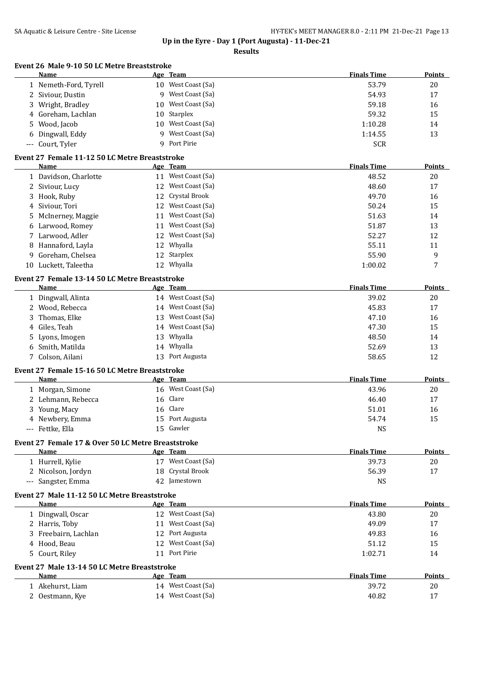|     | Name                                                          |    | Age Team           | <b>Finals Time</b> | <b>Points</b> |
|-----|---------------------------------------------------------------|----|--------------------|--------------------|---------------|
|     | 1 Nemeth-Ford, Tyrell                                         |    | 10 West Coast (Sa) | 53.79              | 20            |
|     | 2 Siviour, Dustin                                             | 9  | West Coast (Sa)    | 54.93              | 17            |
| 3   | Wright, Bradley                                               | 10 | West Coast (Sa)    | 59.18              | 16            |
| 4   | Goreham, Lachlan                                              | 10 | Starplex           | 59.32              | 15            |
| 5   | Wood, Jacob                                                   | 10 | West Coast (Sa)    | 1:10.28            | 14            |
| 6   | Dingwall, Eddy                                                | q  | West Coast (Sa)    | 1:14.55            | 13            |
| --- | Court, Tyler                                                  |    | 9 Port Pirie       | <b>SCR</b>         |               |
|     | Event 27 Female 11-12 50 LC Metre Breaststroke<br>Name        |    | Age Team           | <b>Finals Time</b> | <b>Points</b> |
|     | 1 Davidson, Charlotte                                         |    | 11 West Coast (Sa) | 48.52              | 20            |
|     |                                                               |    | 12 West Coast (Sa) | 48.60              | 17            |
|     | 2 Siviour, Lucy                                               | 12 | Crystal Brook      |                    |               |
| 3   | Hook, Ruby                                                    |    |                    | 49.70              | 16            |
| 4   | Siviour, Tori                                                 |    | 12 West Coast (Sa) | 50.24              | 15            |
| 5   | McInerney, Maggie                                             |    | 11 West Coast (Sa) | 51.63              | 14            |
| 6   | Larwood, Romey                                                |    | 11 West Coast (Sa) | 51.87              | 13            |
| 7   | Larwood, Adler                                                |    | 12 West Coast (Sa) | 52.27              | 12            |
| 8   | Hannaford, Layla                                              |    | 12 Whyalla         | 55.11              | 11            |
| 9   | Goreham, Chelsea                                              |    | 12 Starplex        | 55.90              | 9             |
| 10  | Luckett, Taleetha                                             |    | 12 Whyalla         | 1:00.02            | 7             |
|     | Event 27 Female 13-14 50 LC Metre Breaststroke<br><b>Name</b> |    | Age Team           | <b>Finals Time</b> | <b>Points</b> |
|     | 1 Dingwall, Alinta                                            |    | 14 West Coast (Sa) | 39.02              | 20            |
|     | 2 Wood, Rebecca                                               |    | 14 West Coast (Sa) | 45.83              | 17            |
| 3   | Thomas, Elke                                                  | 13 | West Coast (Sa)    | 47.10              | 16            |
| 4   | Giles, Teah                                                   |    | 14 West Coast (Sa) | 47.30              | 15            |
| 5   | Lyons, Imogen                                                 |    | 13 Whyalla         | 48.50              | 14            |
| 6   | Smith, Matilda                                                |    | 14 Whyalla         | 52.69              | 13            |
|     | 7 Colson, Ailani                                              |    | 13 Port Augusta    | 58.65              | 12            |
|     | Event 27 Female 15-16 50 LC Metre Breaststroke                |    |                    |                    |               |
|     | <b>Name</b>                                                   |    | Age Team           | <b>Finals Time</b> | <b>Points</b> |
|     | 1 Morgan, Simone                                              |    | 16 West Coast (Sa) | 43.96              | 20            |
|     | 2 Lehmann, Rebecca                                            |    | 16 Clare           | 46.40              | 17            |
| 3   | Young, Macy                                                   | 16 | Clare              | 51.01              | 16            |
|     | 4 Newbery, Emma                                               | 15 | Port Augusta       | 54.74              | 15            |
|     | --- Fettke, Ella                                              |    | 15 Gawler          | <b>NS</b>          |               |
|     | Event 27 Female 17 & Over 50 LC Metre Breaststroke            |    |                    |                    |               |
|     | Name                                                          |    | Age Team           | <b>Finals Time</b> | Points        |
|     | 1 Hurrell, Kylie                                              |    | 17 West Coast (Sa) | 39.73              | 20            |
|     | 2 Nicolson, Jordyn                                            |    | 18 Crystal Brook   | 56.39              | 17            |
|     | --- Sangster, Emma                                            |    | 42 Jamestown       | <b>NS</b>          |               |
|     | Event 27 Male 11-12 50 LC Metre Breaststroke<br>Name          |    | Age Team           | <b>Finals Time</b> | Points        |
|     | 1 Dingwall, Oscar                                             |    | 12 West Coast (Sa) | 43.80              | 20            |
|     | 2 Harris, Toby                                                |    | 11 West Coast (Sa) | 49.09              | 17            |
| 3   | Freebairn, Lachlan                                            |    | 12 Port Augusta    | 49.83              | 16            |
| 4   | Hood, Beau                                                    |    | 12 West Coast (Sa) | 51.12              | 15            |
|     |                                                               |    | 11 Port Pirie      |                    |               |
| 5   | Court, Riley                                                  |    |                    | 1:02.71            | 14            |
|     | Event 27 Male 13-14 50 LC Metre Breaststroke<br>Name          |    | <u>Age Team</u>    | <b>Finals Time</b> | Points        |
|     | 1 Akehurst, Liam                                              |    | 14 West Coast (Sa) | 39.72              | 20            |
|     | 2 Oestmann, Kye                                               |    | 14 West Coast (Sa) | 40.82              | 17            |
|     |                                                               |    |                    |                    |               |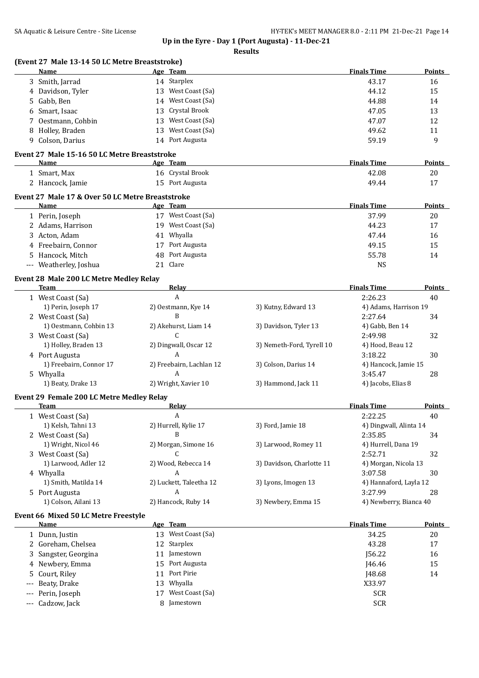|                                          | (Event 27 Male 13-14 50 LC Metre Breaststroke)<br>Name | Age Team                 |                           | <b>Finals Time</b>     | Points        |
|------------------------------------------|--------------------------------------------------------|--------------------------|---------------------------|------------------------|---------------|
|                                          | 3 Smith, Jarrad                                        | 14 Starplex              |                           | 43.17                  | 16            |
| 4                                        | Davidson, Tyler                                        | 13 West Coast (Sa)       |                           | 44.12                  | 15            |
| 5                                        | Gabb, Ben                                              | 14 West Coast (Sa)       |                           | 44.88                  | 14            |
| 6                                        | Smart, Isaac                                           | Crystal Brook<br>13      |                           | 47.05                  | 13            |
|                                          |                                                        | West Coast (Sa)<br>13    |                           |                        | 12            |
| 7                                        | Oestmann, Cohbin                                       |                          |                           | 47.07                  |               |
| 8                                        | Holley, Braden                                         | West Coast (Sa)<br>13    |                           | 49.62                  | 11            |
| 9                                        | Colson, Darius                                         | 14 Port Augusta          |                           | 59.19                  | 9             |
|                                          | Event 27 Male 15-16 50 LC Metre Breaststroke           |                          |                           |                        |               |
|                                          | Name                                                   | Age Team                 |                           | <b>Finals Time</b>     | <b>Points</b> |
|                                          | 1 Smart, Max                                           | 16 Crystal Brook         |                           | 42.08                  | 20            |
|                                          | 2 Hancock, Jamie                                       | 15 Port Augusta          |                           | 49.44                  | 17            |
|                                          | Event 27 Male 17 & Over 50 LC Metre Breaststroke       |                          |                           |                        |               |
|                                          | Name                                                   | Age Team                 |                           | <b>Finals Time</b>     | Points        |
|                                          | 1 Perin, Joseph                                        | 17 West Coast (Sa)       |                           | 37.99                  | 20            |
|                                          | 2 Adams, Harrison                                      | 19 West Coast (Sa)       |                           | 44.23                  | 17            |
|                                          | 3 Acton, Adam                                          | 41 Whyalla               |                           | 47.44                  | 16            |
| 4                                        | Freebairn, Connor                                      | 17 Port Augusta          |                           | 49.15                  | 15            |
| 5                                        | Hancock, Mitch                                         | Port Augusta<br>48       |                           | 55.78                  | 14            |
| $\hspace{0.05cm} \ldots \hspace{0.05cm}$ | Weatherley, Joshua                                     | Clare<br>21              |                           | <b>NS</b>              |               |
|                                          | Event 28 Male 200 LC Metre Medley Relay                |                          |                           |                        |               |
|                                          | <b>Team</b>                                            | Relay                    |                           | <b>Finals Time</b>     | Points        |
|                                          | 1 West Coast (Sa)                                      | A                        |                           | 2:26.23                | 40            |
|                                          | 1) Perin, Joseph 17                                    | 2) Oestmann, Kye 14      | 3) Kutny, Edward 13       | 4) Adams, Harrison 19  |               |
|                                          | 2 West Coast (Sa)                                      | B                        |                           | 2:27.64                | 34            |
|                                          | 1) Oestmann, Cohbin 13                                 | 2) Akehurst, Liam 14     | 3) Davidson, Tyler 13     | 4) Gabb, Ben 14        |               |
|                                          | 3 West Coast (Sa)                                      | C                        |                           | 2:49.98                | 32            |
|                                          | 1) Holley, Braden 13                                   | 2) Dingwall, Oscar 12    | 3) Nemeth-Ford, Tyrell 10 | 4) Hood, Beau 12       |               |
|                                          | 4 Port Augusta                                         | A                        |                           | 3:18.22                | 30            |
|                                          | 1) Freebairn, Connor 17                                | 2) Freebairn, Lachlan 12 | 3) Colson, Darius 14      | 4) Hancock, Jamie 15   |               |
|                                          | 5 Whyalla                                              | A                        |                           | 3:45.47                | 28            |
|                                          | 1) Beaty, Drake 13                                     | 2) Wright, Xavier 10     | 3) Hammond, Jack 11       | 4) Jacobs, Elias 8     |               |
|                                          | Event 29 Female 200 LC Metre Medley Relay              |                          |                           |                        |               |
|                                          | <b>Team</b>                                            | <b>Relay</b>             |                           | <b>Finals Time</b>     | Points        |
|                                          | 1 West Coast (Sa)                                      | A                        |                           | 2:22.25                | 40            |
|                                          | 1) Kelsh, Tahni 13                                     | 2) Hurrell, Kylie 17     | 3) Ford, Jamie 18         | 4) Dingwall, Alinta 14 |               |
|                                          | 2 West Coast (Sa)                                      | B                        |                           | 2:35.85                | 34            |
|                                          | 1) Wright, Nicol 46                                    | 2) Morgan, Simone 16     | 3) Larwood, Romey 11      | 4) Hurrell, Dana 19    |               |
|                                          |                                                        | C                        |                           | 2:52.71                | 32            |
|                                          | 3 West Coast (Sa)                                      |                          |                           |                        |               |
|                                          | 1) Larwood, Adler 12                                   | 2) Wood, Rebecca 14      | 3) Davidson, Charlotte 11 | 4) Morgan, Nicola 13   |               |
|                                          | 4 Whyalla                                              | A                        |                           | 3:07.58                | 30            |
|                                          | 1) Smith, Matilda 14                                   | 2) Luckett, Taleetha 12  | 3) Lyons, Imogen 13       | 4) Hannaford, Layla 12 |               |
|                                          | 5 Port Augusta                                         | A                        |                           | 3:27.99                | 28            |
|                                          | 1) Colson, Ailani 13                                   | 2) Hancock, Ruby 14      | 3) Newbery, Emma 15       | 4) Newberry, Bianca 40 |               |
|                                          | Event 66 Mixed 50 LC Metre Freestyle                   |                          |                           |                        |               |
|                                          | <b>Name</b>                                            | Age Team                 |                           | <b>Finals Time</b>     | <b>Points</b> |
|                                          | 1 Dunn, Justin                                         | 13 West Coast (Sa)       |                           | 34.25                  | 20            |
|                                          | 2 Goreham, Chelsea                                     | 12 Starplex              |                           | 43.28                  | 17            |
|                                          | Sangster, Georgina                                     | 11 Jamestown             |                           | J56.22                 | 16            |
| 4                                        | Newbery, Emma                                          | Port Augusta<br>15       |                           | J46.46                 | 15            |
| 5                                        | Court, Riley                                           | Port Pirie<br>11         |                           | J48.68                 | 14            |
| $---$                                    | Beaty, Drake                                           | Whyalla<br>13            |                           | X33.97                 |               |
| $---$                                    | Perin, Joseph                                          | West Coast (Sa)<br>17    |                           | <b>SCR</b>             |               |
| $\cdots$                                 | Cadzow, Jack                                           | 8 Jamestown              |                           | <b>SCR</b>             |               |
|                                          |                                                        |                          |                           |                        |               |